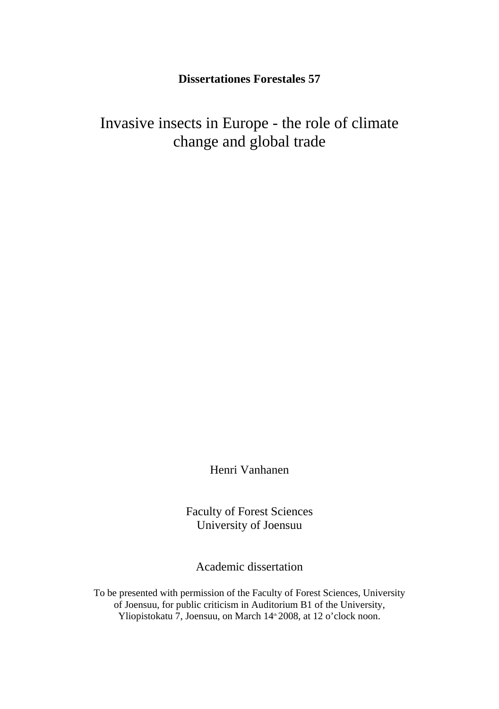# **Dissertationes Forestales 57**

Invasive insects in Europe - the role of climate change and global trade

Henri Vanhanen

Faculty of Forest Sciences University of Joensuu

Academic dissertation

To be presented with permission of the Faculty of Forest Sciences, University of Joensuu, for public criticism in Auditorium B1 of the University, Yliopistokatu 7, Joensuu, on March 14<sup>th</sup> 2008, at 12 o'clock noon.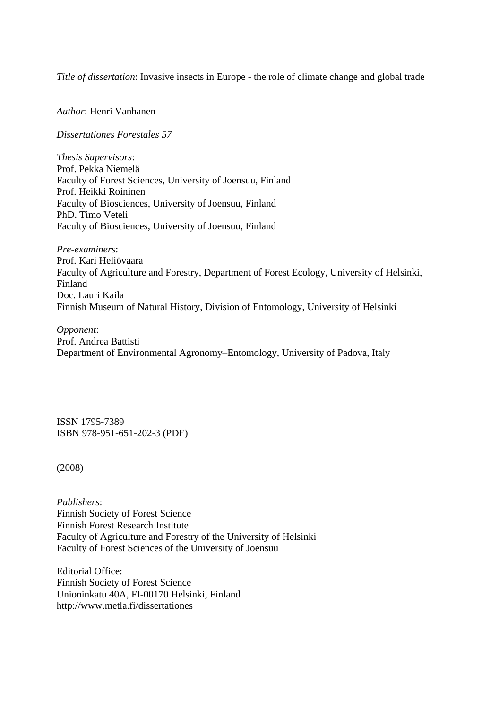*Title of dissertation*: Invasive insects in Europe - the role of climate change and global trade

*Author*: Henri Vanhanen

*Dissertationes Forestales 57* 

*Thesis Supervisors*: Prof. Pekka Niemelä Faculty of Forest Sciences, University of Joensuu, Finland Prof. Heikki Roininen Faculty of Biosciences, University of Joensuu, Finland PhD. Timo Veteli Faculty of Biosciences, University of Joensuu, Finland

*Pre-examiners*: Prof. Kari Heliövaara Faculty of Agriculture and Forestry, Department of Forest Ecology, University of Helsinki, Finland Doc. Lauri Kaila Finnish Museum of Natural History, Division of Entomology, University of Helsinki

*Opponent*: Prof. Andrea Battisti Department of Environmental Agronomy–Entomology, University of Padova, Italy

ISSN 1795-7389 ISBN 978-951-651-202-3 (PDF)

(2008)

*Publishers*: Finnish Society of Forest Science Finnish Forest Research Institute Faculty of Agriculture and Forestry of the University of Helsinki Faculty of Forest Sciences of the University of Joensuu

Editorial Office: Finnish Society of Forest Science Unioninkatu 40A, FI-00170 Helsinki, Finland http://www.metla.fi/dissertationes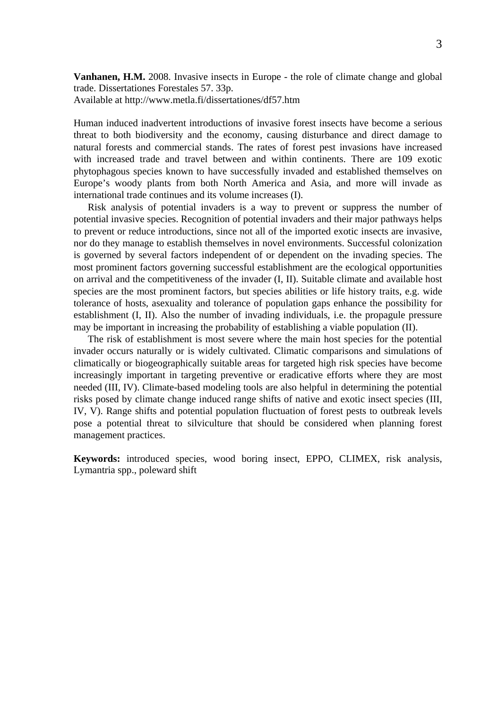**Vanhanen, H.M.** 2008. Invasive insects in Europe - the role of climate change and global trade. Dissertationes Forestales 57. 33p.

Available at http://www.metla.fi/dissertationes/df57.htm

Human induced inadvertent introductions of invasive forest insects have become a serious threat to both biodiversity and the economy, causing disturbance and direct damage to natural forests and commercial stands. The rates of forest pest invasions have increased with increased trade and travel between and within continents. There are 109 exotic phytophagous species known to have successfully invaded and established themselves on Europe's woody plants from both North America and Asia, and more will invade as international trade continues and its volume increases (I).

Risk analysis of potential invaders is a way to prevent or suppress the number of potential invasive species. Recognition of potential invaders and their major pathways helps to prevent or reduce introductions, since not all of the imported exotic insects are invasive, nor do they manage to establish themselves in novel environments. Successful colonization is governed by several factors independent of or dependent on the invading species. The most prominent factors governing successful establishment are the ecological opportunities on arrival and the competitiveness of the invader (I, II). Suitable climate and available host species are the most prominent factors, but species abilities or life history traits, e.g. wide tolerance of hosts, asexuality and tolerance of population gaps enhance the possibility for establishment (I, II). Also the number of invading individuals, i.e. the propagule pressure may be important in increasing the probability of establishing a viable population (II).

The risk of establishment is most severe where the main host species for the potential invader occurs naturally or is widely cultivated. Climatic comparisons and simulations of climatically or biogeographically suitable areas for targeted high risk species have become increasingly important in targeting preventive or eradicative efforts where they are most needed (III, IV). Climate-based modeling tools are also helpful in determining the potential risks posed by climate change induced range shifts of native and exotic insect species (III, IV, V). Range shifts and potential population fluctuation of forest pests to outbreak levels pose a potential threat to silviculture that should be considered when planning forest management practices.

**Keywords:** introduced species, wood boring insect, EPPO, CLIMEX, risk analysis, Lymantria spp., poleward shift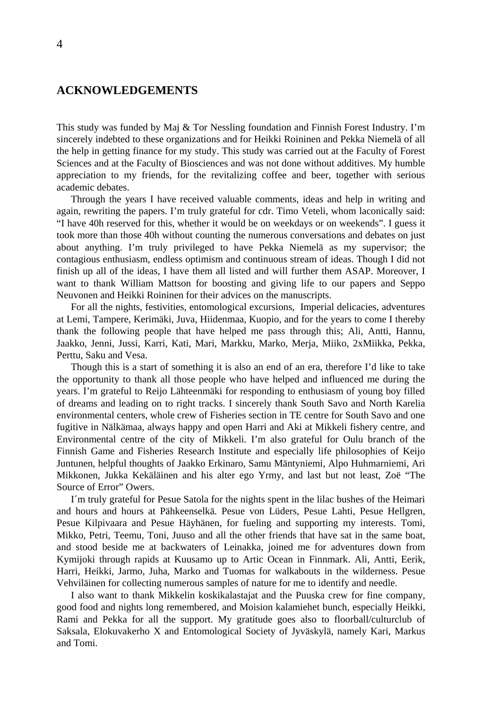### <span id="page-3-0"></span>**ACKNOWLEDGEMENTS**

This study was funded by Maj & Tor Nessling foundation and Finnish Forest Industry. I'm sincerely indebted to these organizations and for Heikki Roininen and Pekka Niemelä of all the help in getting finance for my study. This study was carried out at the Faculty of Forest Sciences and at the Faculty of Biosciences and was not done without additives. My humble appreciation to my friends, for the revitalizing coffee and beer, together with serious academic debates.

Through the years I have received valuable comments, ideas and help in writing and again, rewriting the papers. I'm truly grateful for cdr. Timo Veteli, whom laconically said: "I have 40h reserved for this, whether it would be on weekdays or on weekends". I guess it took more than those 40h without counting the numerous conversations and debates on just about anything. I'm truly privileged to have Pekka Niemelä as my supervisor; the contagious enthusiasm, endless optimism and continuous stream of ideas. Though I did not finish up all of the ideas, I have them all listed and will further them ASAP. Moreover, I want to thank William Mattson for boosting and giving life to our papers and Seppo Neuvonen and Heikki Roininen for their advices on the manuscripts.

For all the nights, festivities, entomological excursions, Imperial delicacies, adventures at Lemi, Tampere, Kerimäki, Juva, Hiidenmaa, Kuopio, and for the years to come I thereby thank the following people that have helped me pass through this; Ali, Antti, Hannu, Jaakko, Jenni, Jussi, Karri, Kati, Mari, Markku, Marko, Merja, Miiko, 2xMiikka, Pekka, Perttu, Saku and Vesa.

Though this is a start of something it is also an end of an era, therefore I'd like to take the opportunity to thank all those people who have helped and influenced me during the years. I'm grateful to Reijo Lähteenmäki for responding to enthusiasm of young boy filled of dreams and leading on to right tracks. I sincerely thank South Savo and North Karelia environmental centers, whole crew of Fisheries section in TE centre for South Savo and one fugitive in Nälkämaa, always happy and open Harri and Aki at Mikkeli fishery centre, and Environmental centre of the city of Mikkeli. I'm also grateful for Oulu branch of the Finnish Game and Fisheries Research Institute and especially life philosophies of Keijo Juntunen, helpful thoughts of Jaakko Erkinaro, Samu Mäntyniemi, Alpo Huhmarniemi, Ari Mikkonen, Jukka Kekäläinen and his alter ego Yrmy, and last but not least, Zoë "The Source of Error" Owers.

I´m truly grateful for Pesue Satola for the nights spent in the lilac bushes of the Heimari and hours and hours at Pähkeenselkä. Pesue von Lüders, Pesue Lahti, Pesue Hellgren, Pesue Kilpivaara and Pesue Häyhänen, for fueling and supporting my interests. Tomi, Mikko, Petri, Teemu, Toni, Juuso and all the other friends that have sat in the same boat, and stood beside me at backwaters of Leinakka, joined me for adventures down from Kymijoki through rapids at Kuusamo up to Artic Ocean in Finnmark. Ali, Antti, Eerik, Harri, Heikki, Jarmo, Juha, Marko and Tuomas for walkabouts in the wilderness. Pesue Vehviläinen for collecting numerous samples of nature for me to identify and needle.

I also want to thank Mikkelin koskikalastajat and the Puuska crew for fine company, good food and nights long remembered, and Moision kalamiehet bunch, especially Heikki, Rami and Pekka for all the support. My gratitude goes also to floorball/culturclub of Saksala, Elokuvakerho X and Entomological Society of Jyväskylä, namely Kari, Markus and Tomi.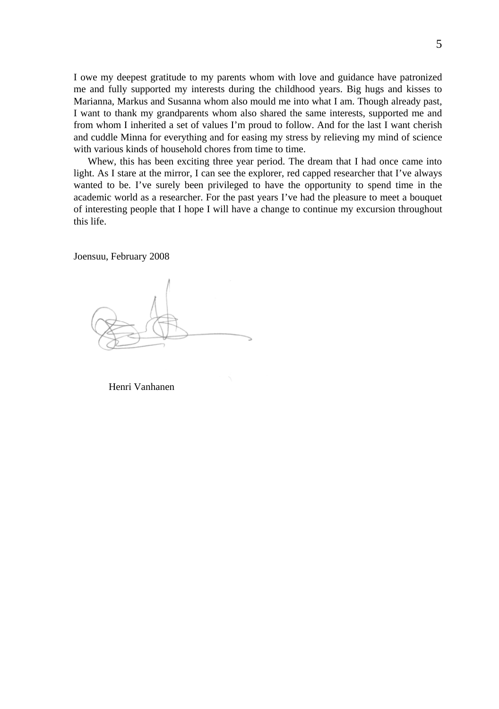I owe my deepest gratitude to my parents whom with love and guidance have patronized me and fully supported my interests during the childhood years. Big hugs and kisses to Marianna, Markus and Susanna whom also mould me into what I am. Though already past, I want to thank my grandparents whom also shared the same interests, supported me and from whom I inherited a set of values I'm proud to follow. And for the last I want cherish and cuddle Minna for everything and for easing my stress by relieving my mind of science with various kinds of household chores from time to time.

Whew, this has been exciting three year period. The dream that I had once came into light. As I stare at the mirror, I can see the explorer, red capped researcher that I've always wanted to be. I've surely been privileged to have the opportunity to spend time in the academic world as a researcher. For the past years I've had the pleasure to meet a bouquet of interesting people that I hope I will have a change to continue my excursion throughout this life.

Joensuu, February 2008

Henri Vanhanen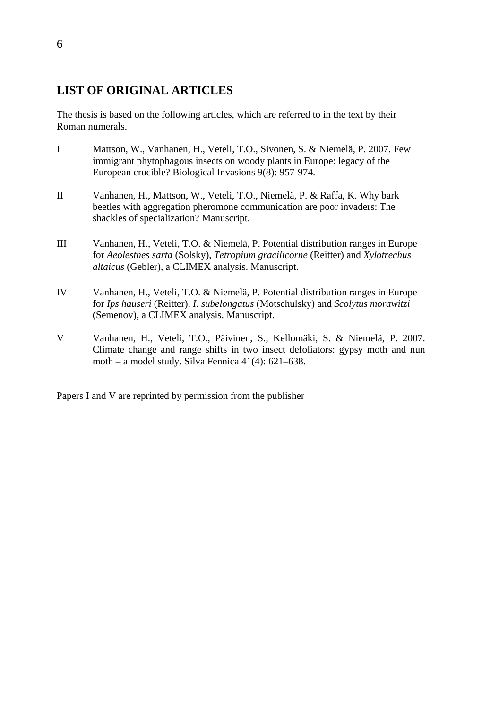# <span id="page-5-0"></span>**LIST OF ORIGINAL ARTICLES**

The thesis is based on the following articles, which are referred to in the text by their Roman numerals.

- I Mattson, W., Vanhanen, H., Veteli, T.O., Sivonen, S. & Niemelä, P. 2007. Few immigrant phytophagous insects on woody plants in Europe: legacy of the European crucible? Biological Invasions 9(8): 957-974.
- II Vanhanen, H., Mattson, W., Veteli, T.O., Niemelä, P. & Raffa, K. Why bark beetles with aggregation pheromone communication are poor invaders: The shackles of specialization? Manuscript.
- III Vanhanen, H., Veteli, T.O. & Niemelä, P. Potential distribution ranges in Europe for *Aeolesthes sarta* (Solsky), *Tetropium gracilicorne* (Reitter) and *Xylotrechus altaicus* (Gebler), a CLIMEX analysis. Manuscript.
- IV Vanhanen, H., Veteli, T.O. & Niemelä, P. Potential distribution ranges in Europe for *Ips hauseri* (Reitter), *I. subelongatus* (Motschulsky) and *Scolytus morawitzi* (Semenov), a CLIMEX analysis. Manuscript.
- V Vanhanen, H., Veteli, T.O., Päivinen, S., Kellomäki, S. & Niemelä, P. 2007. Climate change and range shifts in two insect defoliators: gypsy moth and nun moth – a model study. Silva Fennica 41(4): 621–638.

Papers I and V are reprinted by permission from the publisher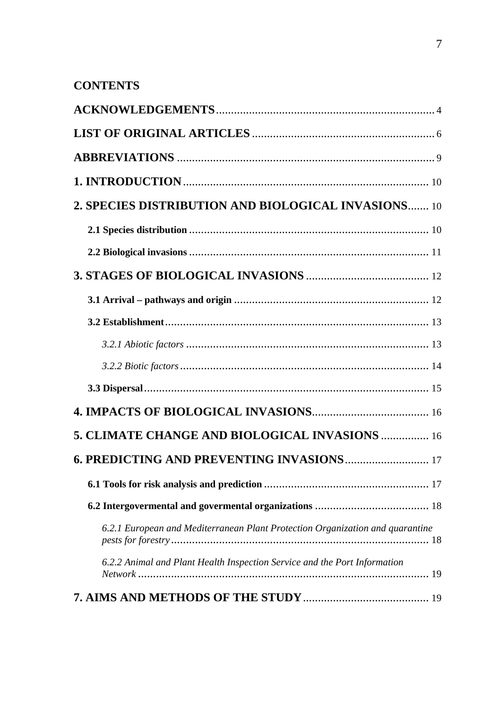# **CONTENTS**

| 2. SPECIES DISTRIBUTION AND BIOLOGICAL INVASIONS 10                           |
|-------------------------------------------------------------------------------|
|                                                                               |
|                                                                               |
|                                                                               |
|                                                                               |
|                                                                               |
|                                                                               |
|                                                                               |
|                                                                               |
|                                                                               |
| 5. CLIMATE CHANGE AND BIOLOGICAL INVASIONS  16                                |
| <b>6. PREDICTING AND PREVENTING INVASIONS  17</b>                             |
|                                                                               |
|                                                                               |
| 6.2.1 European and Mediterranean Plant Protection Organization and quarantine |
| 6.2.2 Animal and Plant Health Inspection Service and the Port Information     |
|                                                                               |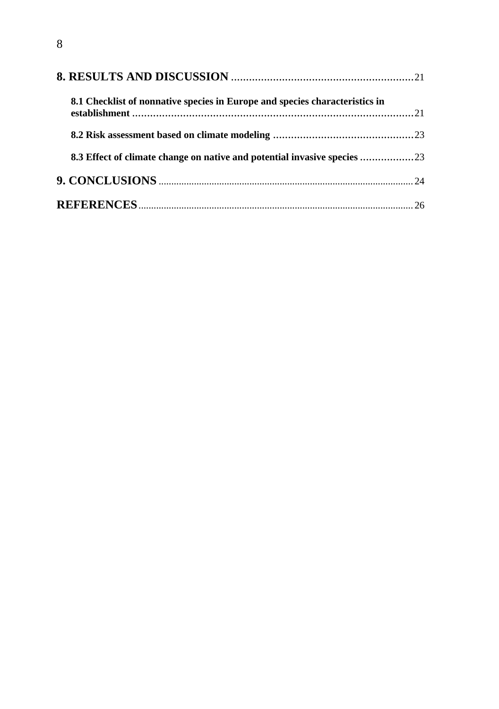| 8.1 Checklist of nonnative species in Europe and species characteristics in |  |
|-----------------------------------------------------------------------------|--|
|                                                                             |  |
| 8.3 Effect of climate change on native and potential invasive species       |  |
|                                                                             |  |
|                                                                             |  |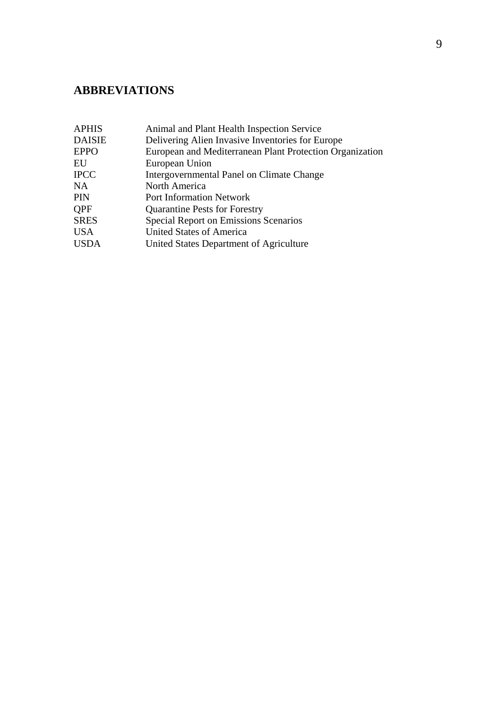# <span id="page-8-0"></span>**ABBREVIATIONS**

| Animal and Plant Health Inspection Service               |
|----------------------------------------------------------|
| Delivering Alien Invasive Inventories for Europe         |
| European and Mediterranean Plant Protection Organization |
| European Union                                           |
| Intergovernmental Panel on Climate Change                |
| North America                                            |
| <b>Port Information Network</b>                          |
| <b>Quarantine Pests for Forestry</b>                     |
| Special Report on Emissions Scenarios                    |
| United States of America                                 |
| United States Department of Agriculture                  |
|                                                          |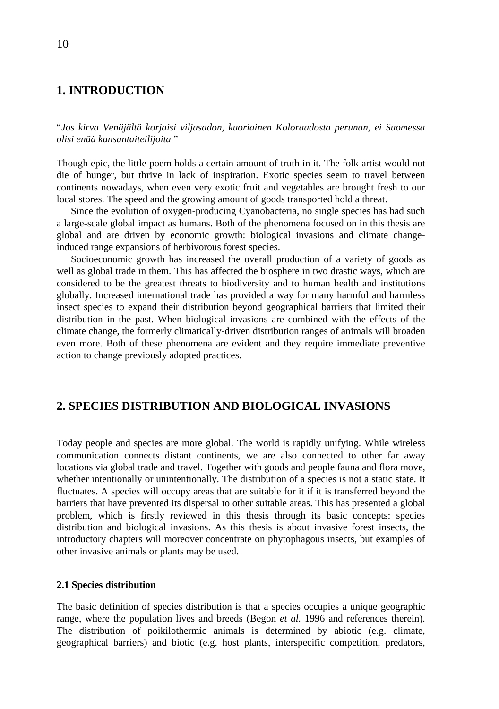### <span id="page-9-0"></span>**1. INTRODUCTION**

"*Jos kirva Venäjältä korjaisi viljasadon, kuoriainen Koloraadosta perunan, ei Suomessa olisi enää kansantaiteilijoita* "

Though epic, the little poem holds a certain amount of truth in it. The folk artist would not die of hunger, but thrive in lack of inspiration. Exotic species seem to travel between continents nowadays, when even very exotic fruit and vegetables are brought fresh to our local stores. The speed and the growing amount of goods transported hold a threat.

Since the evolution of oxygen-producing Cyanobacteria, no single species has had such a large-scale global impact as humans. Both of the phenomena focused on in this thesis are global and are driven by economic growth: biological invasions and climate changeinduced range expansions of herbivorous forest species.

Socioeconomic growth has increased the overall production of a variety of goods as well as global trade in them. This has affected the biosphere in two drastic ways, which are considered to be the greatest threats to biodiversity and to human health and institutions globally. Increased international trade has provided a way for many harmful and harmless insect species to expand their distribution beyond geographical barriers that limited their distribution in the past. When biological invasions are combined with the effects of the climate change, the formerly climatically-driven distribution ranges of animals will broaden even more. Both of these phenomena are evident and they require immediate preventive action to change previously adopted practices.

### **2. SPECIES DISTRIBUTION AND BIOLOGICAL INVASIONS**

Today people and species are more global. The world is rapidly unifying. While wireless communication connects distant continents, we are also connected to other far away locations via global trade and travel. Together with goods and people fauna and flora move, whether intentionally or unintentionally. The distribution of a species is not a static state. It fluctuates. A species will occupy areas that are suitable for it if it is transferred beyond the barriers that have prevented its dispersal to other suitable areas. This has presented a global problem, which is firstly reviewed in this thesis through its basic concepts: species distribution and biological invasions. As this thesis is about invasive forest insects, the introductory chapters will moreover concentrate on phytophagous insects, but examples of other invasive animals or plants may be used.

#### **2.1 Species distribution**

The basic definition of species distribution is that a species occupies a unique geographic range, where the population lives and breeds (Begon *et al.* 1996 and references therein). The distribution of poikilothermic animals is determined by abiotic (e.g. climate, geographical barriers) and biotic (e.g. host plants, interspecific competition, predators,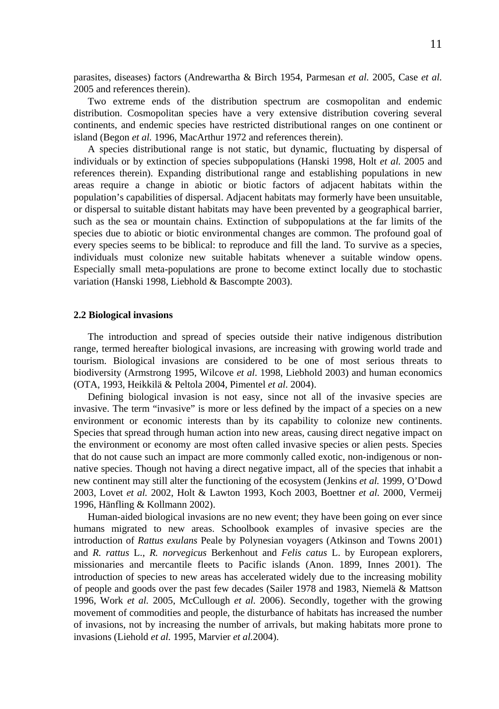<span id="page-10-0"></span>parasites, diseases) factors (Andrewartha & Birch 1954, Parmesan *et al.* 2005, Case *et al.* 2005 and references therein).

Two extreme ends of the distribution spectrum are cosmopolitan and endemic distribution. Cosmopolitan species have a very extensive distribution covering several continents, and endemic species have restricted distributional ranges on one continent or island (Begon *et al.* 1996, MacArthur 1972 and references therein).

A species distributional range is not static, but dynamic, fluctuating by dispersal of individuals or by extinction of species subpopulations (Hanski 1998, Holt *et al.* 2005 and references therein). Expanding distributional range and establishing populations in new areas require a change in abiotic or biotic factors of adjacent habitats within the population's capabilities of dispersal. Adjacent habitats may formerly have been unsuitable, or dispersal to suitable distant habitats may have been prevented by a geographical barrier, such as the sea or mountain chains. Extinction of subpopulations at the far limits of the species due to abiotic or biotic environmental changes are common. The profound goal of every species seems to be biblical: to reproduce and fill the land. To survive as a species, individuals must colonize new suitable habitats whenever a suitable window opens. Especially small meta-populations are prone to become extinct locally due to stochastic variation (Hanski 1998, Liebhold & Bascompte 2003).

#### **2.2 Biological invasions**

The introduction and spread of species outside their native indigenous distribution range, termed hereafter biological invasions, are increasing with growing world trade and tourism. Biological invasions are considered to be one of most serious threats to biodiversity (Armstrong 1995, Wilcove *et al*. 1998, Liebhold 2003) and human economics (OTA, 1993, Heikkilä & Peltola 2004, Pimentel *et al*. 2004).

Defining biological invasion is not easy, since not all of the invasive species are invasive. The term "invasive" is more or less defined by the impact of a species on a new environment or economic interests than by its capability to colonize new continents. Species that spread through human action into new areas, causing direct negative impact on the environment or economy are most often called invasive species or alien pests. Species that do not cause such an impact are more commonly called exotic, non-indigenous or nonnative species. Though not having a direct negative impact, all of the species that inhabit a new continent may still alter the functioning of the ecosystem (Jenkins *et al.* 1999, O'Dowd 2003, Lovet *et al.* 2002, Holt & Lawton 1993, Koch 2003, Boettner *et al.* 2000, Vermeij 1996, Hänfling & Kollmann 2002).

Human-aided biological invasions are no new event; they have been going on ever since humans migrated to new areas. Schoolbook examples of invasive species are the introduction of *Rattus exulans* Peale by Polynesian voyagers (Atkinson and Towns 2001) and *R. rattus* L., *R. norvegicus* Berkenhout and *Felis catus* L. by European explorers, missionaries and mercantile fleets to Pacific islands (Anon. 1899, Innes 2001). The introduction of species to new areas has accelerated widely due to the increasing mobility of people and goods over the past few decades (Sailer 1978 and 1983, Niemelä & Mattson 1996, Work *et al.* 2005, McCullough *et al.* 2006). Secondly, together with the growing movement of commodities and people, the disturbance of habitats has increased the number of invasions, not by increasing the number of arrivals, but making habitats more prone to invasions (Liehold *et al.* 1995, Marvier *et al.*2004).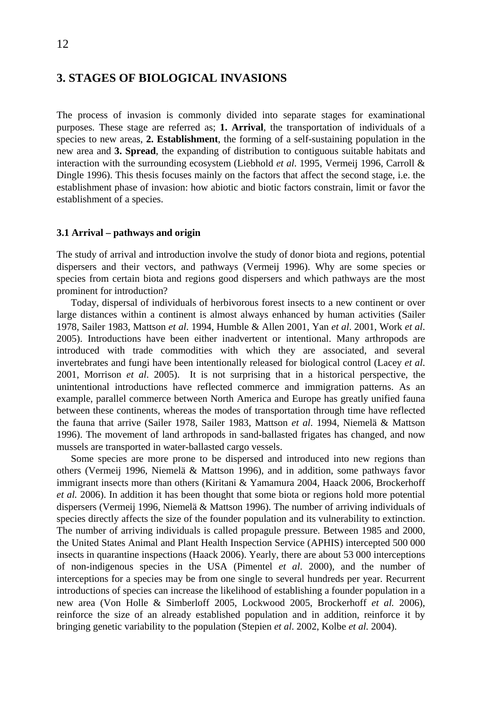## <span id="page-11-0"></span>**3. STAGES OF BIOLOGICAL INVASIONS**

The process of invasion is commonly divided into separate stages for examinational purposes. These stage are referred as; **1. Arrival**, the transportation of individuals of a species to new areas, **2. Establishment**, the forming of a self-sustaining population in the new area and **3. Spread**, the expanding of distribution to contiguous suitable habitats and interaction with the surrounding ecosystem (Liebhold *et al*. 1995, Vermeij 1996, Carroll & Dingle 1996). This thesis focuses mainly on the factors that affect the second stage, i.e. the establishment phase of invasion: how abiotic and biotic factors constrain, limit or favor the establishment of a species.

#### **3.1 Arrival – pathways and origin**

The study of arrival and introduction involve the study of donor biota and regions, potential dispersers and their vectors, and pathways (Vermeij 1996). Why are some species or species from certain biota and regions good dispersers and which pathways are the most prominent for introduction?

Today, dispersal of individuals of herbivorous forest insects to a new continent or over large distances within a continent is almost always enhanced by human activities (Sailer 1978, Sailer 1983, Mattson *et al*. 1994, Humble & Allen 2001, Yan *et al*. 2001, Work *et al*. 2005). Introductions have been either inadvertent or intentional. Many arthropods are introduced with trade commodities with which they are associated, and several invertebrates and fungi have been intentionally released for biological control (Lacey *et al*. 2001, Morrison *et al*. 2005). It is not surprising that in a historical perspective, the unintentional introductions have reflected commerce and immigration patterns. As an example, parallel commerce between North America and Europe has greatly unified fauna between these continents, whereas the modes of transportation through time have reflected the fauna that arrive (Sailer 1978, Sailer 1983, Mattson *et al*. 1994, Niemelä & Mattson 1996). The movement of land arthropods in sand-ballasted frigates has changed, and now mussels are transported in water-ballasted cargo vessels.

Some species are more prone to be dispersed and introduced into new regions than others (Vermeij 1996, Niemelä & Mattson 1996), and in addition, some pathways favor immigrant insects more than others (Kiritani & Yamamura 2004, Haack 2006, Brockerhoff *et al.* 2006). In addition it has been thought that some biota or regions hold more potential dispersers (Vermeij 1996, Niemelä & Mattson 1996). The number of arriving individuals of species directly affects the size of the founder population and its vulnerability to extinction. The number of arriving individuals is called propagule pressure. Between 1985 and 2000, the United States Animal and Plant Health Inspection Service (APHIS) intercepted 500 000 insects in quarantine inspections (Haack 2006). Yearly, there are about 53 000 interceptions of non-indigenous species in the USA (Pimentel *et al*. 2000), and the number of interceptions for a species may be from one single to several hundreds per year. Recurrent introductions of species can increase the likelihood of establishing a founder population in a new area (Von Holle & Simberloff 2005, Lockwood 2005, Brockerhoff *et al.* 2006), reinforce the size of an already established population and in addition, reinforce it by bringing genetic variability to the population (Stepien *et al*. 2002, Kolbe *et al.* 2004).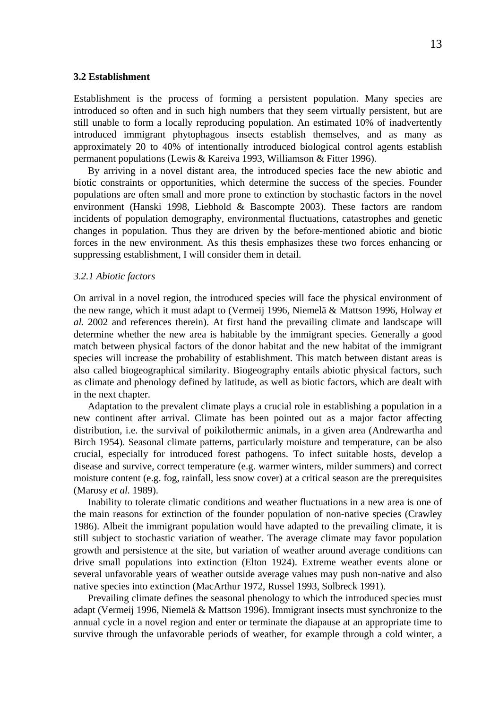#### <span id="page-12-0"></span>**3.2 Establishment**

Establishment is the process of forming a persistent population. Many species are introduced so often and in such high numbers that they seem virtually persistent, but are still unable to form a locally reproducing population. An estimated 10% of inadvertently introduced immigrant phytophagous insects establish themselves, and as many as approximately 20 to 40% of intentionally introduced biological control agents establish permanent populations (Lewis & Kareiva 1993, Williamson & Fitter 1996).

By arriving in a novel distant area, the introduced species face the new abiotic and biotic constraints or opportunities, which determine the success of the species. Founder populations are often small and more prone to extinction by stochastic factors in the novel environment (Hanski 1998, Liebhold & Bascompte 2003). These factors are random incidents of population demography, environmental fluctuations, catastrophes and genetic changes in population. Thus they are driven by the before-mentioned abiotic and biotic forces in the new environment. As this thesis emphasizes these two forces enhancing or suppressing establishment, I will consider them in detail.

#### *3.2.1 Abiotic factors*

On arrival in a novel region, the introduced species will face the physical environment of the new range, which it must adapt to (Vermeij 1996, Niemelä & Mattson 1996, Holway *et al.* 2002 and references therein). At first hand the prevailing climate and landscape will determine whether the new area is habitable by the immigrant species. Generally a good match between physical factors of the donor habitat and the new habitat of the immigrant species will increase the probability of establishment. This match between distant areas is also called biogeographical similarity. Biogeography entails abiotic physical factors, such as climate and phenology defined by latitude, as well as biotic factors, which are dealt with in the next chapter.

Adaptation to the prevalent climate plays a crucial role in establishing a population in a new continent after arrival. Climate has been pointed out as a major factor affecting distribution, i.e. the survival of poikilothermic animals, in a given area (Andrewartha and Birch 1954). Seasonal climate patterns, particularly moisture and temperature, can be also crucial, especially for introduced forest pathogens. To infect suitable hosts, develop a disease and survive, correct temperature (e.g. warmer winters, milder summers) and correct moisture content (e.g. fog, rainfall, less snow cover) at a critical season are the prerequisites (Marosy *et al.* 1989).

Inability to tolerate climatic conditions and weather fluctuations in a new area is one of the main reasons for extinction of the founder population of non-native species (Crawley 1986). Albeit the immigrant population would have adapted to the prevailing climate, it is still subject to stochastic variation of weather. The average climate may favor population growth and persistence at the site, but variation of weather around average conditions can drive small populations into extinction (Elton 1924). Extreme weather events alone or several unfavorable years of weather outside average values may push non-native and also native species into extinction (MacArthur 1972, Russel 1993, Solbreck 1991).

Prevailing climate defines the seasonal phenology to which the introduced species must adapt (Vermeij 1996, Niemelä & Mattson 1996). Immigrant insects must synchronize to the annual cycle in a novel region and enter or terminate the diapause at an appropriate time to survive through the unfavorable periods of weather, for example through a cold winter, a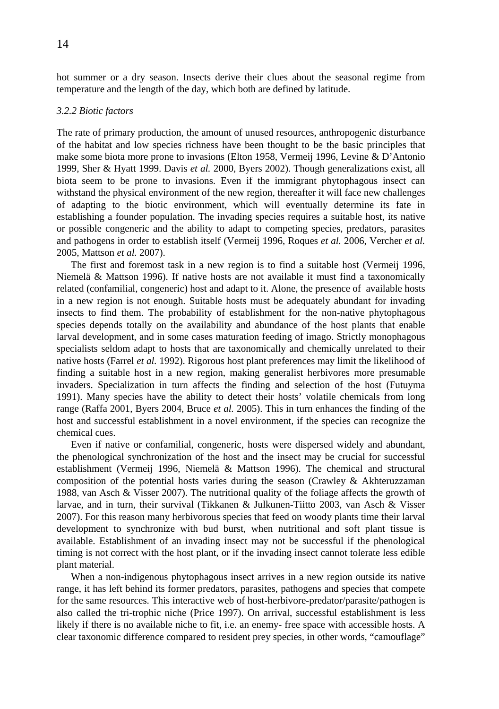<span id="page-13-0"></span>hot summer or a dry season. Insects derive their clues about the seasonal regime from temperature and the length of the day, which both are defined by latitude.

### *3.2.2 Biotic factors*

The rate of primary production, the amount of unused resources, anthropogenic disturbance of the habitat and low species richness have been thought to be the basic principles that make some biota more prone to invasions (Elton 1958, Vermeij 1996, Levine & D'Antonio 1999, Sher & Hyatt 1999. Davis *et al.* 2000, Byers 2002). Though generalizations exist, all biota seem to be prone to invasions. Even if the immigrant phytophagous insect can withstand the physical environment of the new region, thereafter it will face new challenges of adapting to the biotic environment, which will eventually determine its fate in establishing a founder population. The invading species requires a suitable host, its native or possible congeneric and the ability to adapt to competing species, predators, parasites and pathogens in order to establish itself (Vermeij 1996, Roques *et al.* 2006, Vercher *et al.* 2005, Mattson *et al.* 2007).

The first and foremost task in a new region is to find a suitable host (Vermeij 1996, Niemelä & Mattson 1996). If native hosts are not available it must find a taxonomically related (confamilial, congeneric) host and adapt to it. Alone, the presence of available hosts in a new region is not enough. Suitable hosts must be adequately abundant for invading insects to find them. The probability of establishment for the non-native phytophagous species depends totally on the availability and abundance of the host plants that enable larval development, and in some cases maturation feeding of imago. Strictly monophagous specialists seldom adapt to hosts that are taxonomically and chemically unrelated to their native hosts (Farrel *et al.* 1992). Rigorous host plant preferences may limit the likelihood of finding a suitable host in a new region, making generalist herbivores more presumable invaders. Specialization in turn affects the finding and selection of the host (Futuyma 1991). Many species have the ability to detect their hosts' volatile chemicals from long range (Raffa 2001, Byers 2004, Bruce *et al.* 2005). This in turn enhances the finding of the host and successful establishment in a novel environment, if the species can recognize the chemical cues.

Even if native or confamilial, congeneric, hosts were dispersed widely and abundant, the phenological synchronization of the host and the insect may be crucial for successful establishment (Vermeij 1996, Niemelä & Mattson 1996). The chemical and structural composition of the potential hosts varies during the season (Crawley & Akhteruzzaman 1988, van Asch & Visser 2007). The nutritional quality of the foliage affects the growth of larvae, and in turn, their survival (Tikkanen & Julkunen-Tiitto 2003, van Asch & Visser 2007). For this reason many herbivorous species that feed on woody plants time their larval development to synchronize with bud burst, when nutritional and soft plant tissue is available. Establishment of an invading insect may not be successful if the phenological timing is not correct with the host plant, or if the invading insect cannot tolerate less edible plant material.

When a non-indigenous phytophagous insect arrives in a new region outside its native range, it has left behind its former predators, parasites, pathogens and species that compete for the same resources. This interactive web of host-herbivore-predator/parasite/pathogen is also called the tri-trophic niche (Price 1997). On arrival, successful establishment is less likely if there is no available niche to fit, i.e. an enemy- free space with accessible hosts. A clear taxonomic difference compared to resident prey species, in other words, "camouflage"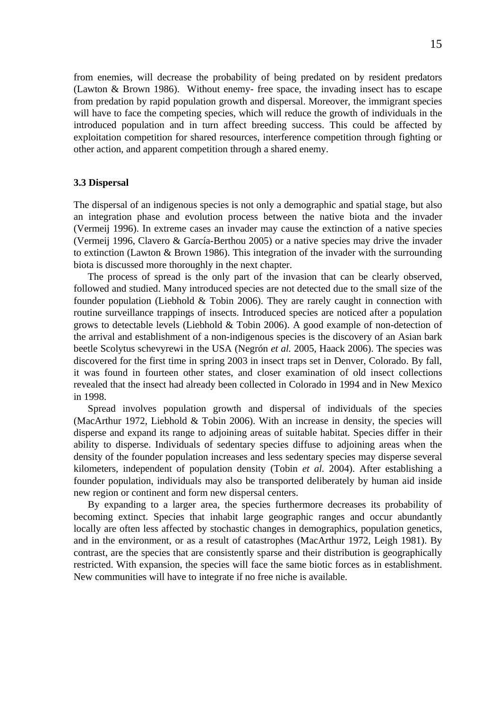<span id="page-14-0"></span>from enemies, will decrease the probability of being predated on by resident predators (Lawton & Brown 1986). Without enemy- free space, the invading insect has to escape from predation by rapid population growth and dispersal. Moreover, the immigrant species will have to face the competing species, which will reduce the growth of individuals in the introduced population and in turn affect breeding success. This could be affected by exploitation competition for shared resources, interference competition through fighting or other action, and apparent competition through a shared enemy.

#### **3.3 Dispersal**

The dispersal of an indigenous species is not only a demographic and spatial stage, but also an integration phase and evolution process between the native biota and the invader (Vermeij 1996). In extreme cases an invader may cause the extinction of a native species (Vermeij 1996, Clavero & García-Berthou 2005) or a native species may drive the invader to extinction (Lawton & Brown 1986). This integration of the invader with the surrounding biota is discussed more thoroughly in the next chapter.

The process of spread is the only part of the invasion that can be clearly observed, followed and studied. Many introduced species are not detected due to the small size of the founder population (Liebhold & Tobin 2006). They are rarely caught in connection with routine surveillance trappings of insects. Introduced species are noticed after a population grows to detectable levels (Liebhold  $&$  Tobin 2006). A good example of non-detection of the arrival and establishment of a non-indigenous species is the discovery of an Asian bark beetle Scolytus schevyrewi in the USA (Negrón *et al.* 2005, Haack 2006). The species was discovered for the first time in spring 2003 in insect traps set in Denver, Colorado. By fall, it was found in fourteen other states, and closer examination of old insect collections revealed that the insect had already been collected in Colorado in 1994 and in New Mexico in 1998.

Spread involves population growth and dispersal of individuals of the species (MacArthur 1972, Liebhold & Tobin 2006). With an increase in density, the species will disperse and expand its range to adjoining areas of suitable habitat. Species differ in their ability to disperse. Individuals of sedentary species diffuse to adjoining areas when the density of the founder population increases and less sedentary species may disperse several kilometers, independent of population density (Tobin *et al.* 2004). After establishing a founder population, individuals may also be transported deliberately by human aid inside new region or continent and form new dispersal centers.

By expanding to a larger area, the species furthermore decreases its probability of becoming extinct. Species that inhabit large geographic ranges and occur abundantly locally are often less affected by stochastic changes in demographics, population genetics, and in the environment, or as a result of catastrophes (MacArthur 1972, Leigh 1981). By contrast, are the species that are consistently sparse and their distribution is geographically restricted. With expansion, the species will face the same biotic forces as in establishment. New communities will have to integrate if no free niche is available.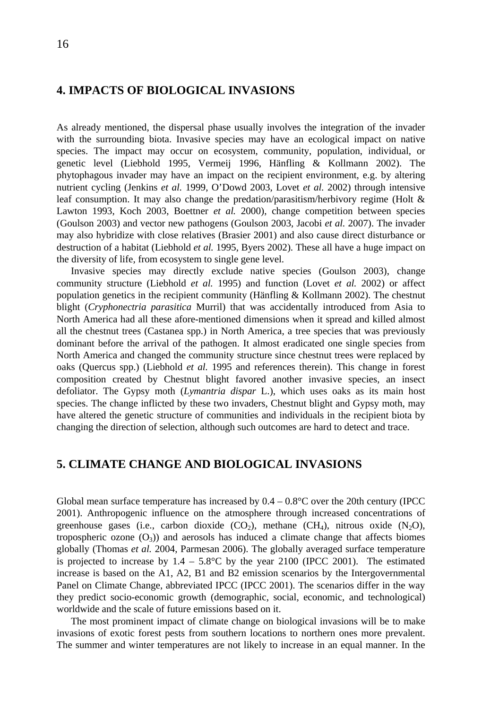### <span id="page-15-0"></span>**4. IMPACTS OF BIOLOGICAL INVASIONS**

As already mentioned, the dispersal phase usually involves the integration of the invader with the surrounding biota. Invasive species may have an ecological impact on native species. The impact may occur on ecosystem, community, population, individual, or genetic level (Liebhold 1995, Vermeij 1996, Hänfling & Kollmann 2002). The phytophagous invader may have an impact on the recipient environment, e.g. by altering nutrient cycling (Jenkins *et al.* 1999, O'Dowd 2003, Lovet *et al.* 2002) through intensive leaf consumption. It may also change the predation/parasitism/herbivory regime (Holt & Lawton 1993, Koch 2003, Boettner *et al.* 2000), change competition between species (Goulson 2003) and vector new pathogens (Goulson 2003, Jacobi *et al.* 2007). The invader may also hybridize with close relatives (Brasier 2001) and also cause direct disturbance or destruction of a habitat (Liebhold *et al.* 1995, Byers 2002). These all have a huge impact on the diversity of life, from ecosystem to single gene level.

Invasive species may directly exclude native species (Goulson 2003), change community structure (Liebhold *et al.* 1995) and function (Lovet *et al.* 2002) or affect population genetics in the recipient community (Hänfling  $&$  Kollmann 2002). The chestnut blight (*Cryphonectria parasitica* Murril) that was accidentally introduced from Asia to North America had all these afore-mentioned dimensions when it spread and killed almost all the chestnut trees (Castanea spp.) in North America, a tree species that was previously dominant before the arrival of the pathogen. It almost eradicated one single species from North America and changed the community structure since chestnut trees were replaced by oaks (Quercus spp.) (Liebhold *et al.* 1995 and references therein). This change in forest composition created by Chestnut blight favored another invasive species, an insect defoliator. The Gypsy moth (*Lymantria dispar* L.), which uses oaks as its main host species. The change inflicted by these two invaders, Chestnut blight and Gypsy moth, may have altered the genetic structure of communities and individuals in the recipient biota by changing the direction of selection, although such outcomes are hard to detect and trace.

### **5. CLIMATE CHANGE AND BIOLOGICAL INVASIONS**

Global mean surface temperature has increased by  $0.4 - 0.8$ °C over the 20th century (IPCC 2001). Anthropogenic influence on the atmosphere through increased concentrations of greenhouse gases (i.e., carbon dioxide  $(CO_2)$ , methane  $(CH_4)$ , nitrous oxide  $(N_2O)$ , tropospheric ozone  $(O_3)$  and aerosols has induced a climate change that affects biomes globally (Thomas *et al.* 2004, Parmesan 2006). The globally averaged surface temperature is projected to increase by  $1.4 - 5.8^{\circ}\text{C}$  by the year 2100 (IPCC 2001). The estimated increase is based on the A1, A2, B1 and B2 emission scenarios by the Intergovernmental Panel on Climate Change, abbreviated IPCC (IPCC 2001). The scenarios differ in the way they predict socio-economic growth (demographic, social, economic, and technological) worldwide and the scale of future emissions based on it.

The most prominent impact of climate change on biological invasions will be to make invasions of exotic forest pests from southern locations to northern ones more prevalent. The summer and winter temperatures are not likely to increase in an equal manner. In the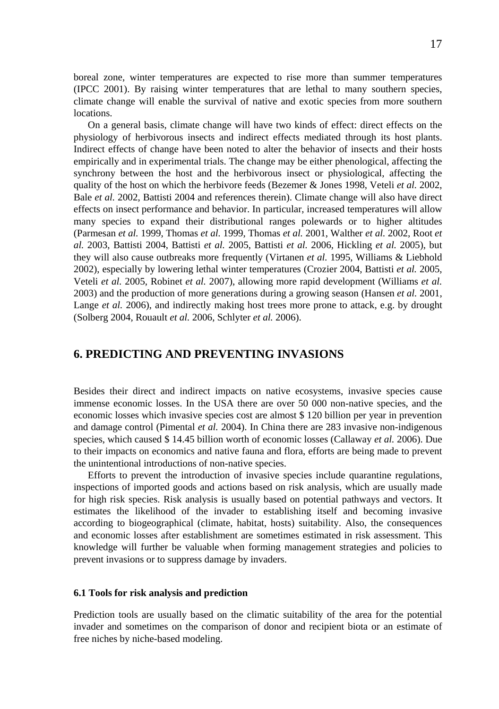<span id="page-16-0"></span>boreal zone, winter temperatures are expected to rise more than summer temperatures (IPCC 2001). By raising winter temperatures that are lethal to many southern species, climate change will enable the survival of native and exotic species from more southern locations.

On a general basis, climate change will have two kinds of effect: direct effects on the physiology of herbivorous insects and indirect effects mediated through its host plants. Indirect effects of change have been noted to alter the behavior of insects and their hosts empirically and in experimental trials. The change may be either phenological, affecting the synchrony between the host and the herbivorous insect or physiological, affecting the quality of the host on which the herbivore feeds (Bezemer & Jones 1998, Veteli *et al.* 2002, Bale *et al.* 2002, Battisti 2004 and references therein). Climate change will also have direct effects on insect performance and behavior. In particular, increased temperatures will allow many species to expand their distributional ranges polewards or to higher altitudes (Parmesan *et al.* 1999, Thomas *et al.* 1999, Thomas *et al.* 2001, Walther *et al.* 2002, Root *et al.* 2003, Battisti 2004, Battisti *et al.* 2005, Battisti *et al.* 2006, Hickling *et al.* 2005), but they will also cause outbreaks more frequently (Virtanen *et al.* 1995, Williams & Liebhold 2002), especially by lowering lethal winter temperatures (Crozier 2004, Battisti *et al.* 2005, Veteli *et al.* 2005, Robinet *et al.* 2007), allowing more rapid development (Williams *et al.* 2003) and the production of more generations during a growing season (Hansen *et al.* 2001, Lange *et al.* 2006), and indirectly making host trees more prone to attack, e.g. by drought (Solberg 2004, Rouault *et al.* 2006, Schlyter *et al.* 2006).

## **6. PREDICTING AND PREVENTING INVASIONS**

Besides their direct and indirect impacts on native ecosystems, invasive species cause immense economic losses. In the USA there are over 50 000 non-native species, and the economic losses which invasive species cost are almost \$ 120 billion per year in prevention and damage control (Pimental *et al.* 2004). In China there are 283 invasive non-indigenous species, which caused \$ 14.45 billion worth of economic losses (Callaway *et al.* 2006). Due to their impacts on economics and native fauna and flora, efforts are being made to prevent the unintentional introductions of non-native species.

Efforts to prevent the introduction of invasive species include quarantine regulations, inspections of imported goods and actions based on risk analysis, which are usually made for high risk species. Risk analysis is usually based on potential pathways and vectors. It estimates the likelihood of the invader to establishing itself and becoming invasive according to biogeographical (climate, habitat, hosts) suitability. Also, the consequences and economic losses after establishment are sometimes estimated in risk assessment. This knowledge will further be valuable when forming management strategies and policies to prevent invasions or to suppress damage by invaders.

### **6.1 Tools for risk analysis and prediction**

Prediction tools are usually based on the climatic suitability of the area for the potential invader and sometimes on the comparison of donor and recipient biota or an estimate of free niches by niche-based modeling.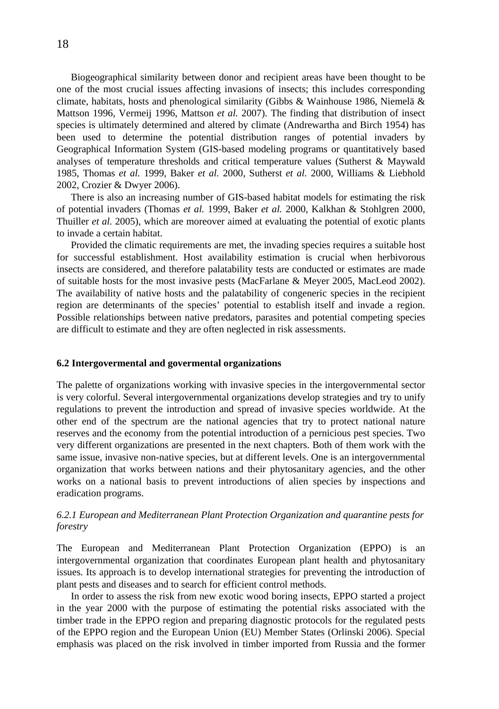<span id="page-17-0"></span>Biogeographical similarity between donor and recipient areas have been thought to be one of the most crucial issues affecting invasions of insects; this includes corresponding climate, habitats, hosts and phenological similarity (Gibbs & Wainhouse 1986, Niemelä & Mattson 1996, Vermeij 1996, Mattson *et al.* 2007). The finding that distribution of insect species is ultimately determined and altered by climate (Andrewartha and Birch 1954) has been used to determine the potential distribution ranges of potential invaders by Geographical Information System (GIS-based modeling programs or quantitatively based analyses of temperature thresholds and critical temperature values (Sutherst & Maywald 1985, Thomas *et al.* 1999, Baker *et al.* 2000, Sutherst *et al.* 2000, Williams & Liebhold 2002, Crozier & Dwyer 2006).

There is also an increasing number of GIS-based habitat models for estimating the risk of potential invaders (Thomas *et al.* 1999, Baker *et al.* 2000, Kalkhan & Stohlgren 2000, Thuiller *et al.* 2005), which are moreover aimed at evaluating the potential of exotic plants to invade a certain habitat.

Provided the climatic requirements are met, the invading species requires a suitable host for successful establishment. Host availability estimation is crucial when herbivorous insects are considered, and therefore palatability tests are conducted or estimates are made of suitable hosts for the most invasive pests (MacFarlane & Meyer 2005, MacLeod 2002). The availability of native hosts and the palatability of congeneric species in the recipient region are determinants of the species' potential to establish itself and invade a region. Possible relationships between native predators, parasites and potential competing species are difficult to estimate and they are often neglected in risk assessments.

#### **6.2 Intergovermental and govermental organizations**

The palette of organizations working with invasive species in the intergovernmental sector is very colorful. Several intergovernmental organizations develop strategies and try to unify regulations to prevent the introduction and spread of invasive species worldwide. At the other end of the spectrum are the national agencies that try to protect national nature reserves and the economy from the potential introduction of a pernicious pest species. Two very different organizations are presented in the next chapters. Both of them work with the same issue, invasive non-native species, but at different levels. One is an intergovernmental organization that works between nations and their phytosanitary agencies, and the other works on a national basis to prevent introductions of alien species by inspections and eradication programs.

### *6.2.1 European and Mediterranean Plant Protection Organization and quarantine pests for forestry*

The European and Mediterranean Plant Protection Organization (EPPO) is an intergovernmental organization that coordinates European plant health and phytosanitary issues. Its approach is to develop international strategies for preventing the introduction of plant pests and diseases and to search for efficient control methods.

In order to assess the risk from new exotic wood boring insects, EPPO started a project in the year 2000 with the purpose of estimating the potential risks associated with the timber trade in the EPPO region and preparing diagnostic protocols for the regulated pests of the EPPO region and the European Union (EU) Member States (Orlinski 2006). Special emphasis was placed on the risk involved in timber imported from Russia and the former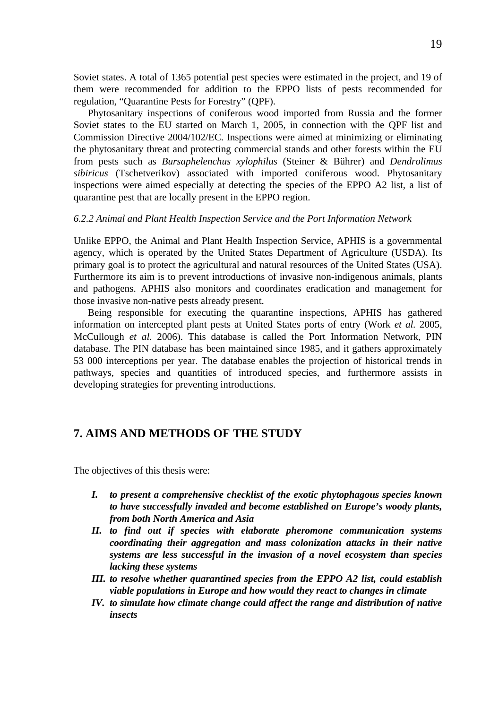<span id="page-18-0"></span>Soviet states. A total of 1365 potential pest species were estimated in the project, and 19 of them were recommended for addition to the EPPO lists of pests recommended for regulation, "Quarantine Pests for Forestry" (QPF).

Phytosanitary inspections of coniferous wood imported from Russia and the former Soviet states to the EU started on March 1, 2005, in connection with the QPF list and Commission Directive 2004/102/EC. Inspections were aimed at minimizing or eliminating the phytosanitary threat and protecting commercial stands and other forests within the EU from pests such as *Bursaphelenchus xylophilus* (Steiner & Bührer) and *Dendrolimus sibiricus* (Tschetverikov) associated with imported coniferous wood. Phytosanitary inspections were aimed especially at detecting the species of the EPPO A2 list, a list of quarantine pest that are locally present in the EPPO region.

### *6.2.2 Animal and Plant Health Inspection Service and the Port Information Network*

Unlike EPPO, the Animal and Plant Health Inspection Service, APHIS is a governmental agency, which is operated by the United States Department of Agriculture (USDA). Its primary goal is to protect the agricultural and natural resources of the United States (USA). Furthermore its aim is to prevent introductions of invasive non-indigenous animals, plants and pathogens. APHIS also monitors and coordinates eradication and management for those invasive non-native pests already present.

Being responsible for executing the quarantine inspections, APHIS has gathered information on intercepted plant pests at United States ports of entry (Work *et al.* 2005, McCullough *et al.* 2006). This database is called the Port Information Network, PIN database. The PIN database has been maintained since 1985, and it gathers approximately 53 000 interceptions per year. The database enables the projection of historical trends in pathways, species and quantities of introduced species, and furthermore assists in developing strategies for preventing introductions.

## **7. AIMS AND METHODS OF THE STUDY**

The objectives of this thesis were:

- *I. to present a comprehensive checklist of the exotic phytophagous species known to have successfully invaded and become established on Europe's woody plants, from both North America and Asia*
- *II. to find out if species with elaborate pheromone communication systems coordinating their aggregation and mass colonization attacks in their native systems are less successful in the invasion of a novel ecosystem than species lacking these systems*
- *III. to resolve whether quarantined species from the EPPO A2 list, could establish viable populations in Europe and how would they react to changes in climate*
- *IV. to simulate how climate change could affect the range and distribution of native insects*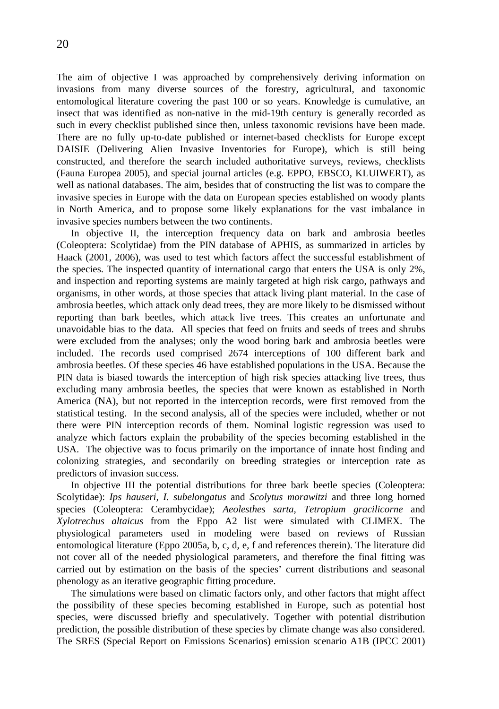The aim of objective I was approached by comprehensively deriving information on invasions from many diverse sources of the forestry, agricultural, and taxonomic entomological literature covering the past 100 or so years. Knowledge is cumulative, an insect that was identified as non-native in the mid-19th century is generally recorded as such in every checklist published since then, unless taxonomic revisions have been made. There are no fully up-to-date published or internet-based checklists for Europe except DAISIE (Delivering Alien Invasive Inventories for Europe), which is still being constructed, and therefore the search included authoritative surveys, reviews, checklists (Fauna Europea 2005), and special journal articles (e.g. EPPO, EBSCO, KLUIWERT), as well as national databases. The aim, besides that of constructing the list was to compare the invasive species in Europe with the data on European species established on woody plants in North America, and to propose some likely explanations for the vast imbalance in invasive species numbers between the two continents.

In objective II, the interception frequency data on bark and ambrosia beetles (Coleoptera: Scolytidae) from the PIN database of APHIS, as summarized in articles by Haack (2001, 2006), was used to test which factors affect the successful establishment of the species. The inspected quantity of international cargo that enters the USA is only 2%, and inspection and reporting systems are mainly targeted at high risk cargo, pathways and organisms, in other words, at those species that attack living plant material. In the case of ambrosia beetles, which attack only dead trees, they are more likely to be dismissed without reporting than bark beetles, which attack live trees. This creates an unfortunate and unavoidable bias to the data. All species that feed on fruits and seeds of trees and shrubs were excluded from the analyses; only the wood boring bark and ambrosia beetles were included. The records used comprised 2674 interceptions of 100 different bark and ambrosia beetles. Of these species 46 have established populations in the USA. Because the PIN data is biased towards the interception of high risk species attacking live trees, thus excluding many ambrosia beetles, the species that were known as established in North America (NA), but not reported in the interception records, were first removed from the statistical testing. In the second analysis, all of the species were included, whether or not there were PIN interception records of them. Nominal logistic regression was used to analyze which factors explain the probability of the species becoming established in the USA. The objective was to focus primarily on the importance of innate host finding and colonizing strategies, and secondarily on breeding strategies or interception rate as predictors of invasion success.

In objective III the potential distributions for three bark beetle species (Coleoptera: Scolytidae): *Ips hauseri, I. subelongatus* and *Scolytus morawitzi* and three long horned species (Coleoptera: Cerambycidae); *Aeolesthes sarta, Tetropium gracilicorne* and *Xylotrechus altaicus* from the Eppo A2 list were simulated with CLIMEX. The physiological parameters used in modeling were based on reviews of Russian entomological literature (Eppo 2005a, b, c, d, e, f and references therein). The literature did not cover all of the needed physiological parameters, and therefore the final fitting was carried out by estimation on the basis of the species' current distributions and seasonal phenology as an iterative geographic fitting procedure.

The simulations were based on climatic factors only, and other factors that might affect the possibility of these species becoming established in Europe, such as potential host species, were discussed briefly and speculatively. Together with potential distribution prediction, the possible distribution of these species by climate change was also considered. The SRES (Special Report on Emissions Scenarios) emission scenario A1B (IPCC 2001)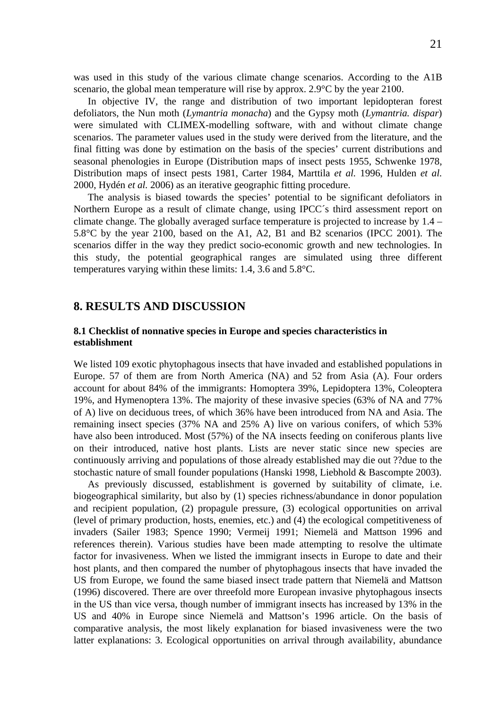<span id="page-20-0"></span>was used in this study of the various climate change scenarios. According to the A1B scenario, the global mean temperature will rise by approx. 2.9°C by the year 2100.

In objective IV, the range and distribution of two important lepidopteran forest defoliators, the Nun moth (*Lymantria monacha*) and the Gypsy moth (*Lymantria. dispar*) were simulated with CLIMEX-modelling software, with and without climate change scenarios. The parameter values used in the study were derived from the literature, and the final fitting was done by estimation on the basis of the species' current distributions and seasonal phenologies in Europe (Distribution maps of insect pests 1955, Schwenke 1978, Distribution maps of insect pests 1981, Carter 1984, Marttila *et al.* 1996, Hulden *et al.* 2000, Hydén *et al.* 2006) as an iterative geographic fitting procedure.

The analysis is biased towards the species' potential to be significant defoliators in Northern Europe as a result of climate change, using IPCC´s third assessment report on climate change. The globally averaged surface temperature is projected to increase by 1.4 – 5.8°C by the year 2100, based on the A1, A2, B1 and B2 scenarios (IPCC 2001). The scenarios differ in the way they predict socio-economic growth and new technologies. In this study, the potential geographical ranges are simulated using three different temperatures varying within these limits: 1.4, 3.6 and 5.8°C.

### **8. RESULTS AND DISCUSSION**

### **8.1 Checklist of nonnative species in Europe and species characteristics in establishment**

We listed 109 exotic phytophagous insects that have invaded and established populations in Europe. 57 of them are from North America (NA) and 52 from Asia (A). Four orders account for about 84% of the immigrants: Homoptera 39%, Lepidoptera 13%, Coleoptera 19%, and Hymenoptera 13%. The majority of these invasive species (63% of NA and 77% of A) live on deciduous trees, of which 36% have been introduced from NA and Asia. The remaining insect species (37% NA and 25% A) live on various conifers, of which 53% have also been introduced. Most (57%) of the NA insects feeding on coniferous plants live on their introduced, native host plants. Lists are never static since new species are continuously arriving and populations of those already established may die out ??due to the stochastic nature of small founder populations (Hanski 1998, Liebhold & Bascompte 2003).

As previously discussed, establishment is governed by suitability of climate, i.e. biogeographical similarity, but also by (1) species richness/abundance in donor population and recipient population, (2) propagule pressure, (3) ecological opportunities on arrival (level of primary production, hosts, enemies, etc.) and (4) the ecological competitiveness of invaders (Sailer 1983; Spence 1990; Vermeij 1991; Niemelä and Mattson 1996 and references therein). Various studies have been made attempting to resolve the ultimate factor for invasiveness. When we listed the immigrant insects in Europe to date and their host plants, and then compared the number of phytophagous insects that have invaded the US from Europe, we found the same biased insect trade pattern that Niemelä and Mattson (1996) discovered. There are over threefold more European invasive phytophagous insects in the US than vice versa, though number of immigrant insects has increased by 13% in the US and 40% in Europe since Niemelä and Mattson's 1996 article. On the basis of comparative analysis, the most likely explanation for biased invasiveness were the two latter explanations: 3. Ecological opportunities on arrival through availability, abundance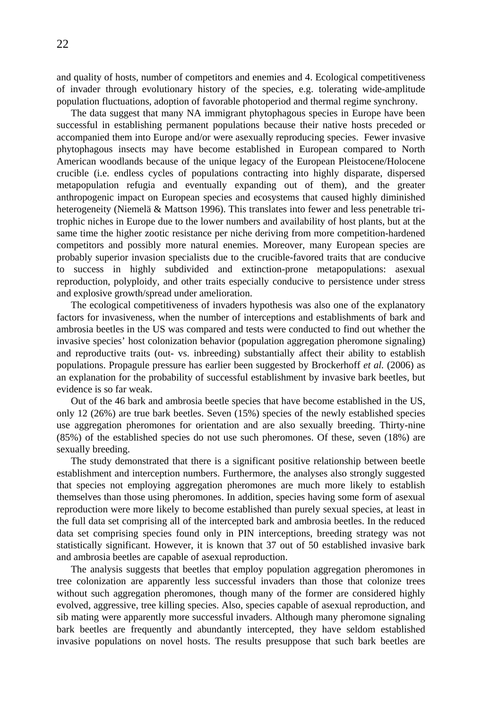and quality of hosts, number of competitors and enemies and 4. Ecological competitiveness of invader through evolutionary history of the species, e.g. tolerating wide-amplitude population fluctuations, adoption of favorable photoperiod and thermal regime synchrony.

The data suggest that many NA immigrant phytophagous species in Europe have been successful in establishing permanent populations because their native hosts preceded or accompanied them into Europe and/or were asexually reproducing species. Fewer invasive phytophagous insects may have become established in European compared to North American woodlands because of the unique legacy of the European Pleistocene/Holocene crucible (i.e. endless cycles of populations contracting into highly disparate, dispersed metapopulation refugia and eventually expanding out of them), and the greater anthropogenic impact on European species and ecosystems that caused highly diminished heterogeneity (Niemelä & Mattson 1996). This translates into fewer and less penetrable tritrophic niches in Europe due to the lower numbers and availability of host plants, but at the same time the higher zootic resistance per niche deriving from more competition-hardened competitors and possibly more natural enemies. Moreover, many European species are probably superior invasion specialists due to the crucible-favored traits that are conducive to success in highly subdivided and extinction-prone metapopulations: asexual reproduction, polyploidy, and other traits especially conducive to persistence under stress and explosive growth/spread under amelioration.

The ecological competitiveness of invaders hypothesis was also one of the explanatory factors for invasiveness, when the number of interceptions and establishments of bark and ambrosia beetles in the US was compared and tests were conducted to find out whether the invasive species' host colonization behavior (population aggregation pheromone signaling) and reproductive traits (out- vs. inbreeding) substantially affect their ability to establish populations. Propagule pressure has earlier been suggested by Brockerhoff *et al.* (2006) as an explanation for the probability of successful establishment by invasive bark beetles, but evidence is so far weak.

Out of the 46 bark and ambrosia beetle species that have become established in the US, only 12 (26%) are true bark beetles. Seven (15%) species of the newly established species use aggregation pheromones for orientation and are also sexually breeding. Thirty-nine (85%) of the established species do not use such pheromones. Of these, seven (18%) are sexually breeding.

The study demonstrated that there is a significant positive relationship between beetle establishment and interception numbers. Furthermore, the analyses also strongly suggested that species not employing aggregation pheromones are much more likely to establish themselves than those using pheromones. In addition, species having some form of asexual reproduction were more likely to become established than purely sexual species, at least in the full data set comprising all of the intercepted bark and ambrosia beetles. In the reduced data set comprising species found only in PIN interceptions, breeding strategy was not statistically significant. However, it is known that 37 out of 50 established invasive bark and ambrosia beetles are capable of asexual reproduction.

The analysis suggests that beetles that employ population aggregation pheromones in tree colonization are apparently less successful invaders than those that colonize trees without such aggregation pheromones, though many of the former are considered highly evolved, aggressive, tree killing species. Also, species capable of asexual reproduction, and sib mating were apparently more successful invaders. Although many pheromone signaling bark beetles are frequently and abundantly intercepted, they have seldom established invasive populations on novel hosts. The results presuppose that such bark beetles are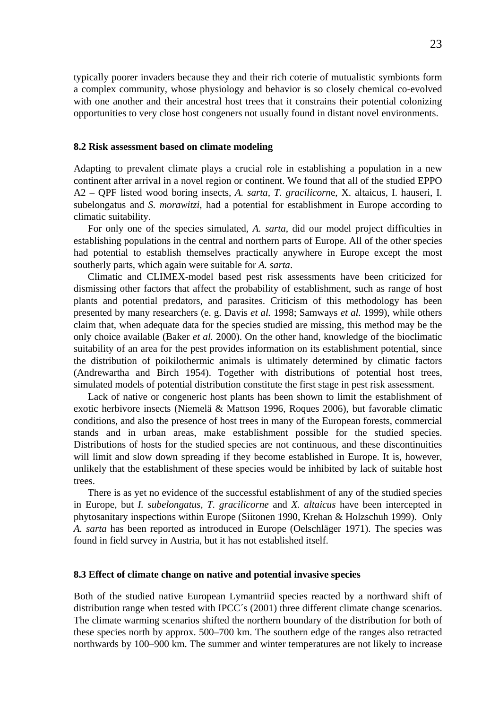<span id="page-22-0"></span>typically poorer invaders because they and their rich coterie of mutualistic symbionts form a complex community, whose physiology and behavior is so closely chemical co-evolved with one another and their ancestral host trees that it constrains their potential colonizing opportunities to very close host congeners not usually found in distant novel environments.

#### **8.2 Risk assessment based on climate modeling**

Adapting to prevalent climate plays a crucial role in establishing a population in a new continent after arrival in a novel region or continent. We found that all of the studied EPPO A2 – QPF listed wood boring insects, *A. sarta, T. gracilicorn*e, X. altaicus, I. hauseri, I. subelongatus and *S. morawitzi*, had a potential for establishment in Europe according to climatic suitability.

For only one of the species simulated, *A. sarta*, did our model project difficulties in establishing populations in the central and northern parts of Europe. All of the other species had potential to establish themselves practically anywhere in Europe except the most southerly parts, which again were suitable for *A. sarta*.

Climatic and CLIMEX-model based pest risk assessments have been criticized for dismissing other factors that affect the probability of establishment, such as range of host plants and potential predators, and parasites. Criticism of this methodology has been presented by many researchers (e. g. Davis *et al.* 1998; Samways *et al.* 1999), while others claim that, when adequate data for the species studied are missing, this method may be the only choice available (Baker *et al.* 2000). On the other hand, knowledge of the bioclimatic suitability of an area for the pest provides information on its establishment potential, since the distribution of poikilothermic animals is ultimately determined by climatic factors (Andrewartha and Birch 1954). Together with distributions of potential host trees, simulated models of potential distribution constitute the first stage in pest risk assessment.

Lack of native or congeneric host plants has been shown to limit the establishment of exotic herbivore insects (Niemelä & Mattson 1996, Roques 2006), but favorable climatic conditions, and also the presence of host trees in many of the European forests, commercial stands and in urban areas, make establishment possible for the studied species. Distributions of hosts for the studied species are not continuous, and these discontinuities will limit and slow down spreading if they become established in Europe. It is, however, unlikely that the establishment of these species would be inhibited by lack of suitable host trees.

There is as yet no evidence of the successful establishment of any of the studied species in Europe, but *I. subelongatus, T. gracilicorne* and *X. altaicus* have been intercepted in phytosanitary inspections within Europe (Siitonen 1990, Krehan & Holzschuh 1999). Only *A. sarta* has been reported as introduced in Europe (Oelschläger 1971). The species was found in field survey in Austria, but it has not established itself.

#### **8.3 Effect of climate change on native and potential invasive species**

Both of the studied native European Lymantriid species reacted by a northward shift of distribution range when tested with IPCC´s (2001) three different climate change scenarios. The climate warming scenarios shifted the northern boundary of the distribution for both of these species north by approx. 500–700 km. The southern edge of the ranges also retracted northwards by 100–900 km. The summer and winter temperatures are not likely to increase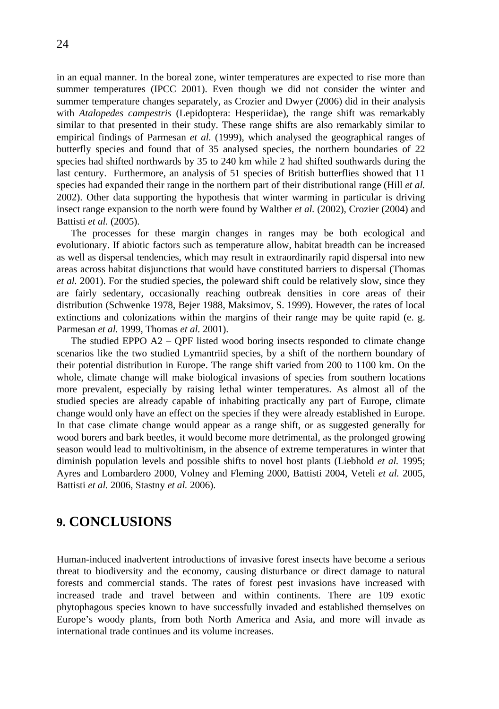<span id="page-23-0"></span>24

in an equal manner. In the boreal zone, winter temperatures are expected to rise more than summer temperatures (IPCC 2001). Even though we did not consider the winter and summer temperature changes separately, as Crozier and Dwyer (2006) did in their analysis with *Atalopedes campestris* (Lepidoptera: Hesperiidae), the range shift was remarkably similar to that presented in their study. These range shifts are also remarkably similar to empirical findings of Parmesan *et al.* (1999), which analysed the geographical ranges of butterfly species and found that of 35 analysed species, the northern boundaries of 22 species had shifted northwards by 35 to 240 km while 2 had shifted southwards during the last century. Furthermore, an analysis of 51 species of British butterflies showed that 11 species had expanded their range in the northern part of their distributional range (Hill *et al.* 2002). Other data supporting the hypothesis that winter warming in particular is driving insect range expansion to the north were found by Walther *et al.* (2002), Crozier (2004) and Battisti *et al.* (2005).

The processes for these margin changes in ranges may be both ecological and evolutionary. If abiotic factors such as temperature allow, habitat breadth can be increased as well as dispersal tendencies, which may result in extraordinarily rapid dispersal into new areas across habitat disjunctions that would have constituted barriers to dispersal (Thomas *et al.* 2001). For the studied species, the poleward shift could be relatively slow, since they are fairly sedentary, occasionally reaching outbreak densities in core areas of their distribution (Schwenke 1978, Bejer 1988, Maksimov, S. 1999). However, the rates of local extinctions and colonizations within the margins of their range may be quite rapid (e. g. Parmesan *et al.* 1999, Thomas *et al.* 2001).

The studied EPPO  $A2 - QPF$  listed wood boring insects responded to climate change scenarios like the two studied Lymantriid species, by a shift of the northern boundary of their potential distribution in Europe. The range shift varied from 200 to 1100 km. On the whole, climate change will make biological invasions of species from southern locations more prevalent, especially by raising lethal winter temperatures. As almost all of the studied species are already capable of inhabiting practically any part of Europe, climate change would only have an effect on the species if they were already established in Europe. In that case climate change would appear as a range shift, or as suggested generally for wood borers and bark beetles, it would become more detrimental, as the prolonged growing season would lead to multivoltinism, in the absence of extreme temperatures in winter that diminish population levels and possible shifts to novel host plants (Liebhold *et al.* 1995; Ayres and Lombardero 2000, Volney and Fleming 2000, Battisti 2004, Veteli *et al.* 2005, Battisti *et al.* 2006, Stastny *et al.* 2006).

# **9. CONCLUSIONS**

Human-induced inadvertent introductions of invasive forest insects have become a serious threat to biodiversity and the economy, causing disturbance or direct damage to natural forests and commercial stands. The rates of forest pest invasions have increased with increased trade and travel between and within continents. There are 109 exotic phytophagous species known to have successfully invaded and established themselves on Europe's woody plants, from both North America and Asia, and more will invade as international trade continues and its volume increases.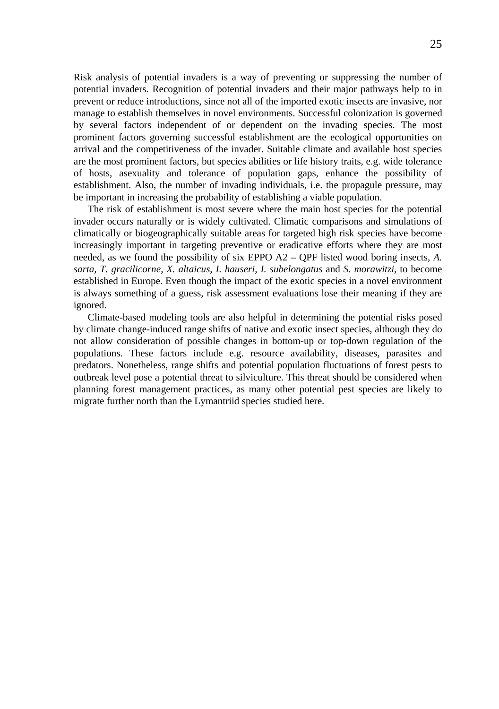Risk analysis of potential invaders is a way of preventing or suppressing the number of potential invaders. Recognition of potential invaders and their major pathways help to in prevent or reduce introductions, since not all of the imported exotic insects are invasive, nor manage to establish themselves in novel environments. Successful colonization is governed by several factors independent of or dependent on the invading species. The most prominent factors governing successful establishment are the ecological opportunities on arrival and the competitiveness of the invader. Suitable climate and available host species are the most prominent factors, but species abilities or life history traits, e.g. wide tolerance of hosts, asexuality and tolerance of population gaps, enhance the possibility of establishment. Also, the number of invading individuals, i.e. the propagule pressure, may be important in increasing the probability of establishing a viable population.

The risk of establishment is most severe where the main host species for the potential invader occurs naturally or is widely cultivated. Climatic comparisons and simulations of climatically or biogeographically suitable areas for targeted high risk species have become increasingly important in targeting preventive or eradicative efforts where they are most needed, as we found the possibility of six EPPO A2 – QPF listed wood boring insects, *A. sarta, T. gracilicorne, X. altaicus, I. hauseri, I. subelongatus* and *S. morawitzi*, to become established in Europe. Even though the impact of the exotic species in a novel environment is always something of a guess, risk assessment evaluations lose their meaning if they are ignored.

Climate-based modeling tools are also helpful in determining the potential risks posed by climate change-induced range shifts of native and exotic insect species, although they do not allow consideration of possible changes in bottom-up or top-down regulation of the populations. These factors include e.g. resource availability, diseases, parasites and predators. Nonetheless, range shifts and potential population fluctuations of forest pests to outbreak level pose a potential threat to silviculture. This threat should be considered when planning forest management practices, as many other potential pest species are likely to migrate further north than the Lymantriid species studied here.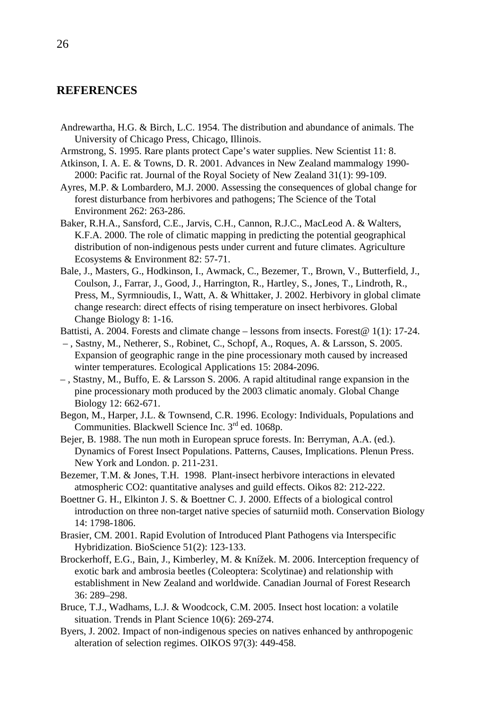### <span id="page-25-0"></span>**REFERENCES**

- Andrewartha, H.G. & Birch, L.C. 1954. The distribution and abundance of animals. The University of Chicago Press, Chicago, Illinois.
- Armstrong, S. 1995. Rare plants protect Cape's water supplies. New Scientist 11: 8.
- Atkinson, I. A. E. & Towns, D. R. 2001. Advances in New Zealand mammalogy 1990- 2000: Pacific rat. Journal of the Royal Society of New Zealand 31(1): 99-109.
- Ayres, M.P. & Lombardero, M.J. 2000. Assessing the consequences of global change for forest disturbance from herbivores and pathogens; The Science of the Total Environment 262: 263-286.
- Baker, R.H.A., Sansford, C.E., Jarvis, C.H., Cannon, R.J.C., MacLeod A. & Walters, K.F.A. 2000. The role of climatic mapping in predicting the potential geographical distribution of non-indigenous pests under current and future climates. Agriculture Ecosystems & Environment 82: 57-71.
- Bale, J., Masters, G., Hodkinson, I., Awmack, C., Bezemer, T., Brown, V., Butterfield, J., Coulson, J., Farrar, J., Good, J., Harrington, R., Hartley, S., Jones, T., Lindroth, R., Press, M., Syrmnioudis, I., Watt, A. & Whittaker, J. 2002. Herbivory in global climate change research: direct effects of rising temperature on insect herbivores. Global Change Biology 8: 1-16.
- Battisti, A. 2004. Forests and climate change lessons from insects. Forest@ 1(1): 17-24.
- , Sastny, M., Netherer, S., Robinet, C., Schopf, A., Roques, A. & Larsson, S. 2005. Expansion of geographic range in the pine processionary moth caused by increased winter temperatures. Ecological Applications 15: 2084-2096.
- , Stastny, M., Buffo, E. & Larsson S. 2006. A rapid altitudinal range expansion in the pine processionary moth produced by the 2003 climatic anomaly. Global Change Biology 12: 662-671.
- Begon, M., Harper, J.L. & Townsend, C.R. 1996. Ecology: Individuals, Populations and Communities. Blackwell Science Inc. 3<sup>rd</sup> ed. 1068p.
- Bejer, B. 1988. The nun moth in European spruce forests. In: Berryman, A.A. (ed.). Dynamics of Forest Insect Populations. Patterns, Causes, Implications. Plenun Press. New York and London. p. 211-231.
- Bezemer, T.M. & Jones, T.H. 1998. Plant-insect herbivore interactions in elevated atmospheric CO2: quantitative analyses and guild effects. Oikos 82: 212-222.
- Boettner G. H., Elkinton J. S. & Boettner C. J. 2000. Effects of a biological control introduction on three non-target native species of saturniid moth. Conservation Biology 14: 1798-1806.
- Brasier, CM. 2001. Rapid Evolution of Introduced Plant Pathogens via Interspecific Hybridization. BioScience 51(2): 123-133.
- Brockerhoff, E.G., Bain, J., Kimberley, M. & Knížek. M. 2006. Interception frequency of exotic bark and ambrosia beetles (Coleoptera: Scolytinae) and relationship with establishment in New Zealand and worldwide. Canadian Journal of Forest Research 36: 289–298.
- Bruce, T.J., Wadhams, L.J. & Woodcock, C.M. 2005. Insect host location: a volatile situation. Trends in Plant Science 10(6): 269-274.
- Byers, J. 2002. Impact of non-indigenous species on natives enhanced by anthropogenic alteration of selection regimes. OIKOS 97(3): 449-458.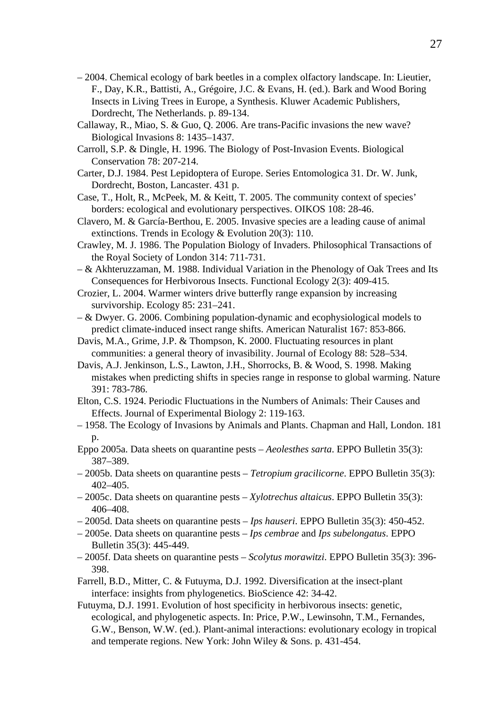- 2004. Chemical ecology of bark beetles in a complex olfactory landscape. In: Lieutier, F., Day, K.R., Battisti, A., Grégoire, J.C. & Evans, H. (ed.). Bark and Wood Boring Insects in Living Trees in Europe, a Synthesis. Kluwer Academic Publishers, Dordrecht, The Netherlands. p. 89-134.
- Callaway, R., Miao, S. & Guo, Q. 2006. Are trans-Pacific invasions the new wave? Biological Invasions 8: 1435–1437.
- Carroll, S.P. & Dingle, H. 1996. The Biology of Post-Invasion Events. Biological Conservation 78: 207-214.
- Carter, D.J. 1984. Pest Lepidoptera of Europe. Series Entomologica 31. Dr. W. Junk, Dordrecht, Boston, Lancaster. 431 p.
- Case, T., Holt, R., McPeek, M. & Keitt, T. 2005. The community context of species' borders: ecological and evolutionary perspectives. OIKOS 108: 28-46.
- Clavero, M. & García-Berthou, E. 2005. Invasive species are a leading cause of animal extinctions. Trends in Ecology & Evolution 20(3): 110.
- Crawley, M. J. 1986. The Population Biology of Invaders. Philosophical Transactions of the Royal Society of London 314: 711-731.
- & Akhteruzzaman, M. 1988. Individual Variation in the Phenology of Oak Trees and Its Consequences for Herbivorous Insects. Functional Ecology 2(3): 409-415.
- Crozier, L. 2004. Warmer winters drive butterfly range expansion by increasing survivorship. Ecology 85: 231–241.
- & Dwyer. G. 2006. Combining population-dynamic and ecophysiological models to predict climate-induced insect range shifts. American Naturalist 167: 853-866.
- Davis, M.A., Grime, J.P. & Thompson, K. 2000. Fluctuating resources in plant communities: a general theory of invasibility. Journal of Ecology 88: 528–534.
- Davis, A.J. Jenkinson, L.S., Lawton, J.H., Shorrocks, B. & Wood, S. 1998. Making mistakes when predicting shifts in species range in response to global warming. Nature 391: 783-786.
- Elton, C.S. 1924. Periodic Fluctuations in the Numbers of Animals: Their Causes and Effects. Journal of Experimental Biology 2: 119-163.
- 1958. The Ecology of Invasions by Animals and Plants. Chapman and Hall, London. 181 p.
- Eppo 2005a. Data sheets on quarantine pests *Aeolesthes sarta*. EPPO Bulletin 35(3): 387–389.
- 2005b. Data sheets on quarantine pests *Tetropium gracilicorne*. EPPO Bulletin 35(3): 402–405.
- 2005c. Data sheets on quarantine pests *Xylotrechus altaicus*. EPPO Bulletin 35(3): 406–408.
- 2005d. Data sheets on quarantine pests *Ips hauseri*. EPPO Bulletin 35(3): 450-452.
- 2005e. Data sheets on quarantine pests *Ips cembrae* and *Ips subelongatus*. EPPO Bulletin 35(3): 445-449.
- 2005f. Data sheets on quarantine pests *Scolytus morawitzi*. EPPO Bulletin 35(3): 396- 398.
- Farrell, B.D., Mitter, C. & Futuyma, D.J. 1992. Diversification at the insect-plant interface: insights from phylogenetics. BioScience 42: 34-42.
- Futuyma, D.J. 1991. Evolution of host specificity in herbivorous insects: genetic, ecological, and phylogenetic aspects. In: Price, P.W., Lewinsohn, T.M., Fernandes, G.W., Benson, W.W. (ed.). Plant-animal interactions: evolutionary ecology in tropical and temperate regions. New York: John Wiley & Sons. p. 431-454.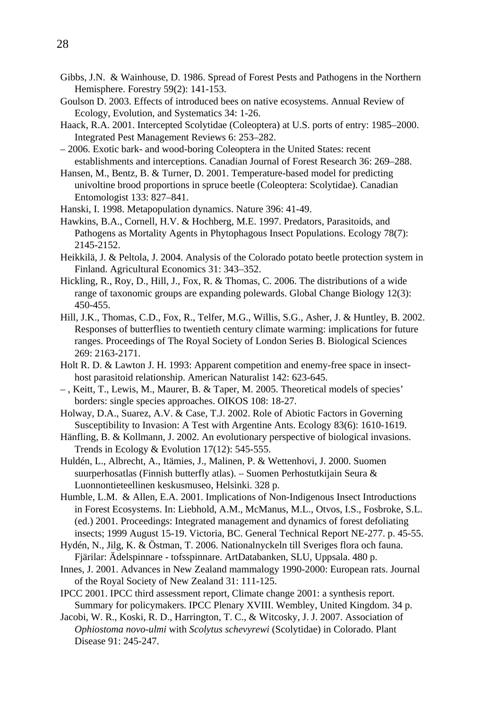- Gibbs, J.N. & Wainhouse, D. 1986. Spread of Forest Pests and Pathogens in the Northern Hemisphere. Forestry 59(2): 141-153.
- Goulson D. 2003. Effects of introduced bees on native ecosystems. Annual Review of Ecology, Evolution, and Systematics 34: 1-26.
- Haack, R.A. 2001. Intercepted Scolytidae (Coleoptera) at U.S. ports of entry: 1985–2000. Integrated Pest Management Reviews 6: 253–282.
- 2006. Exotic bark- and wood-boring Coleoptera in the United States: recent establishments and interceptions. Canadian Journal of Forest Research 36: 269–288.
- Hansen, M., Bentz, B. & Turner, D. 2001. Temperature-based model for predicting univoltine brood proportions in spruce beetle (Coleoptera: Scolytidae). Canadian Entomologist 133: 827–841.
- Hanski, I. 1998. Metapopulation dynamics. Nature 396: 41-49.
- Hawkins, B.A., Cornell, H.V. & Hochberg, M.E. 1997. Predators, Parasitoids, and Pathogens as Mortality Agents in Phytophagous Insect Populations. Ecology 78(7): 2145-2152.
- Heikkilä, J. & Peltola, J. 2004. Analysis of the Colorado potato beetle protection system in Finland. Agricultural Economics 31: 343–352.
- Hickling, R., Roy, D., Hill, J., Fox, R. & Thomas, C. 2006. The distributions of a wide range of taxonomic groups are expanding polewards. Global Change Biology 12(3): 450-455.
- Hill, J.K., Thomas, C.D., Fox, R., Telfer, M.G., Willis, S.G., Asher, J. & Huntley, B. 2002. Responses of butterflies to twentieth century climate warming: implications for future ranges. Proceedings of The Royal Society of London Series B. Biological Sciences 269: 2163-2171.
- Holt R. D. & Lawton J. H. 1993: Apparent competition and enemy-free space in insecthost parasitoid relationship. American Naturalist 142: 623-645.
- , Keitt, T., Lewis, M., Maurer, B. & Taper, M. 2005. Theoretical models of species' borders: single species approaches. OIKOS 108: 18-27.
- Holway, D.A., Suarez, A.V. & Case, T.J. 2002. Role of Abiotic Factors in Governing Susceptibility to Invasion: A Test with Argentine Ants. Ecology 83(6): 1610-1619.
- Hänfling, B. & Kollmann, J. 2002. An evolutionary perspective of biological invasions. Trends in Ecology & Evolution 17(12): 545-555.
- Huldén, L., Albrecht, A., Itämies, J., Malinen, P. & Wettenhovi, J. 2000. Suomen suurperhosatlas (Finnish butterfly atlas). – Suomen Perhostutkijain Seura & Luonnontieteellinen keskusmuseo, Helsinki. 328 p.
- Humble, L.M. & Allen, E.A. 2001. Implications of Non-Indigenous Insect Introductions in Forest Ecosystems. In: Liebhold, A.M., McManus, M.L., Otvos, I.S., Fosbroke, S.L. (ed.) 2001. Proceedings: Integrated management and dynamics of forest defoliating insects; 1999 August 15-19. Victoria, BC. General Technical Report NE-277. p. 45-55.
- Hydén, N., Jilg, K. & Östman, T. 2006. Nationalnyckeln till Sveriges flora och fauna. Fjärilar: Ädelspinnare - tofsspinnare. ArtDatabanken, SLU, Uppsala. 480 p.
- Innes, J. 2001. Advances in New Zealand mammalogy 1990-2000: European rats. Journal of the Royal Society of New Zealand 31: 111-125.
- IPCC 2001. IPCC third assessment report, Climate change 2001: a synthesis report. Summary for policymakers. IPCC Plenary XVIII. Wembley, United Kingdom. 34 p.
- Jacobi, W. R., Koski, R. D., Harrington, T. C., & Witcosky, J. J. 2007. Association of *Ophiostoma novo-ulmi* with *Scolytus schevyrewi* (Scolytidae) in Colorado. Plant Disease 91: 245-247.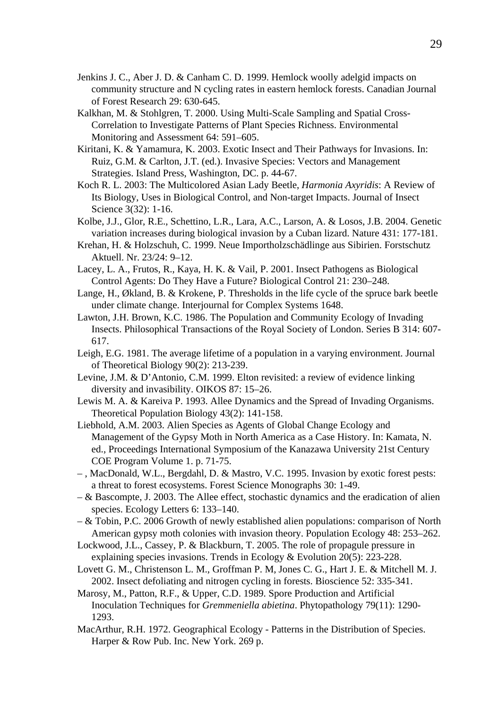- Jenkins J. C., Aber J. D. & Canham C. D. 1999. Hemlock woolly adelgid impacts on community structure and N cycling rates in eastern hemlock forests. Canadian Journal of Forest Research 29: 630-645.
- Kalkhan, M. & Stohlgren, T. 2000. Using Multi-Scale Sampling and Spatial Cross-Correlation to Investigate Patterns of Plant Species Richness. Environmental Monitoring and Assessment 64: 591–605.
- Kiritani, K. & Yamamura, K. 2003. Exotic Insect and Their Pathways for Invasions. In: Ruiz, G.M. & Carlton, J.T. (ed.). Invasive Species: Vectors and Management Strategies. Island Press, Washington, DC. p. 44-67.
- Koch R. L. 2003: The Multicolored Asian Lady Beetle, *Harmonia Axyridis*: A Review of Its Biology, Uses in Biological Control, and Non-target Impacts. Journal of Insect Science 3(32): 1-16.
- Kolbe, J.J., Glor, R.E., Schettino, L.R., Lara, A.C., Larson, A. & Losos, J.B. 2004. Genetic variation increases during biological invasion by a Cuban lizard. Nature 431: 177-181.
- Krehan, H. & Holzschuh, C. 1999. Neue Importholzschädlinge aus Sibirien. Forstschutz Aktuell. Nr. 23/24: 9–12.
- Lacey, L. A., Frutos, R., Kaya, H. K. & Vail, P. 2001. Insect Pathogens as Biological Control Agents: Do They Have a Future? Biological Control 21: 230–248.
- Lange, H., Økland, B. & Krokene, P. Thresholds in the life cycle of the spruce bark beetle under climate change. Interjournal for Complex Systems 1648.
- Lawton, J.H. Brown, K.C. 1986. The Population and Community Ecology of Invading Insects. Philosophical Transactions of the Royal Society of London. Series B 314: 607- 617.
- Leigh, E.G. 1981. The average lifetime of a population in a varying environment. Journal of Theoretical Biology 90(2): 213-239.
- Levine, J.M. & D'Antonio, C.M. 1999. Elton revisited: a review of evidence linking diversity and invasibility. OIKOS 87: 15–26.
- Lewis M. A. & Kareiva P. 1993. Allee Dynamics and the Spread of Invading Organisms. Theoretical Population Biology 43(2): 141-158.
- Liebhold, A.M. 2003. Alien Species as Agents of Global Change Ecology and Management of the Gypsy Moth in North America as a Case History. In: Kamata, N. ed., Proceedings International Symposium of the Kanazawa University 21st Century COE Program Volume 1. p. 71-75.
- , MacDonald, W.L., Bergdahl, D. & Mastro, V.C. 1995. Invasion by exotic forest pests: a threat to forest ecosystems. Forest Science Monographs 30: 1-49.
- & Bascompte, J. 2003. The Allee effect, stochastic dynamics and the eradication of alien species. Ecology Letters 6: 133–140.
- & Tobin, P.C. 2006 Growth of newly established alien populations: comparison of North American gypsy moth colonies with invasion theory. Population Ecology 48: 253–262.
- Lockwood, J.L., Cassey, P. & Blackburn, T. 2005. The role of propagule pressure in explaining species invasions. Trends in Ecology & Evolution 20(5): 223-228.
- Lovett G. M., Christenson L. M., Groffman P. M, Jones C. G., Hart J. E. & Mitchell M. J. 2002. Insect defoliating and nitrogen cycling in forests. Bioscience 52: 335-341.
- Marosy, M., Patton, R.F., & Upper, C.D. 1989. Spore Production and Artificial Inoculation Techniques for *Gremmeniella abietina*. Phytopathology 79(11): 1290- 1293.
- MacArthur, R.H. 1972. Geographical Ecology Patterns in the Distribution of Species. Harper & Row Pub. Inc. New York. 269 p.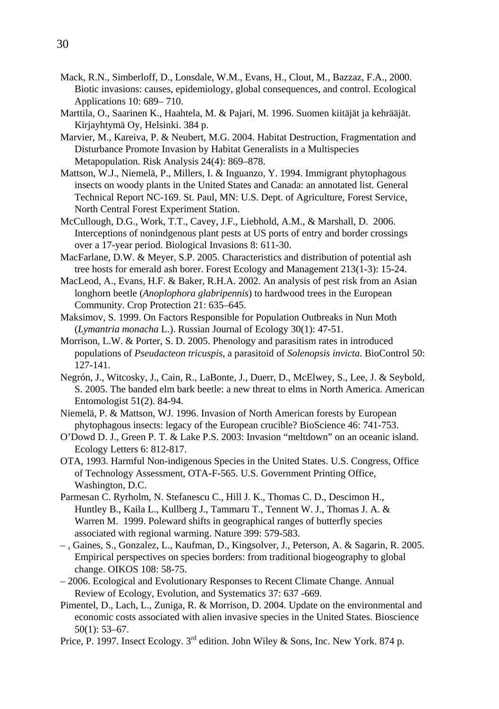- Mack, R.N., Simberloff, D., Lonsdale, W.M., Evans, H., Clout, M., Bazzaz, F.A., 2000. Biotic invasions: causes, epidemiology, global consequences, and control. Ecological Applications 10: 689– 710.
- Marttila, O., Saarinen K., Haahtela, M. & Pajari, M. 1996. Suomen kiitäjät ja kehrääjät. Kirjayhtymä Oy, Helsinki. 384 p.
- Marvier, M., Kareiva, P. & Neubert, M.G. 2004. Habitat Destruction, Fragmentation and Disturbance Promote Invasion by Habitat Generalists in a Multispecies Metapopulation. Risk Analysis 24(4): 869–878.
- Mattson, W.J., Niemelä, P., Millers, I. & Inguanzo, Y. 1994. Immigrant phytophagous insects on woody plants in the United States and Canada: an annotated list. General Technical Report NC-169. St. Paul, MN: U.S. Dept. of Agriculture, Forest Service, North Central Forest Experiment Station.
- McCullough, D.G., Work, T.T., Cavey, J.F., Liebhold, A.M., & Marshall, D. 2006. Interceptions of nonindgenous plant pests at US ports of entry and border crossings over a 17-year period. Biological Invasions 8: 611-30.
- MacFarlane, D.W. & Meyer, S.P. 2005. Characteristics and distribution of potential ash tree hosts for emerald ash borer. Forest Ecology and Management 213(1-3): 15-24.
- MacLeod, A., Evans, H.F. & Baker, R.H.A. 2002. An analysis of pest risk from an Asian longhorn beetle (*Anoplophora glabripennis*) to hardwood trees in the European Community. Crop Protection 21: 635–645.
- Maksimov, S. 1999. On Factors Responsible for Population Outbreaks in Nun Moth (*Lymantria monacha* L.). Russian Journal of Ecology 30(1): 47-51.
- Morrison, L.W. & Porter, S. D. 2005. Phenology and parasitism rates in introduced populations of *Pseudacteon tricuspis*, a parasitoid of *Solenopsis invicta*. BioControl 50: 127-141.
- Negrón, J., Witcosky, J., Cain, R., LaBonte, J., Duerr, D., McElwey, S., Lee, J. & Seybold, S. 2005. The banded elm bark beetle: a new threat to elms in North America. American Entomologist 51(2). 84-94.
- Niemelä, P. & Mattson, WJ. 1996. Invasion of North American forests by European phytophagous insects: legacy of the European crucible? BioScience 46: 741-753.
- O'Dowd D. J., Green P. T. & Lake P.S. 2003: Invasion "meltdown" on an oceanic island. Ecology Letters 6: 812-817.
- OTA, 1993. Harmful Non-indigenous Species in the United States. U.S. Congress, Office of Technology Assessment, OTA-F-565. U.S. Government Printing Office, Washington, D.C.
- Parmesan C. Ryrholm, N. Stefanescu C., Hill J. K., Thomas C. D., Descimon H., Huntley B., Kaila L., Kullberg J., Tammaru T., Tennent W. J., Thomas J. A. & Warren M. 1999. Poleward shifts in geographical ranges of butterfly species associated with regional warming. Nature 399: 579-583.
- , Gaines, S., Gonzalez, L., Kaufman, D., Kingsolver, J., Peterson, A. & Sagarin, R. 2005. Empirical perspectives on species borders: from traditional biogeography to global change. OIKOS 108: 58-75.
- 2006. Ecological and Evolutionary Responses to Recent Climate Change. Annual Review of Ecology, Evolution, and Systematics 37: 637 -669.
- Pimentel, D., Lach, L., Zuniga, R. & Morrison, D. 2004. Update on the environmental and economic costs associated with alien invasive species in the United States. Bioscience 50(1): 53–67.
- Price, P. 1997. Insect Ecology. 3<sup>rd</sup> edition. John Wiley & Sons, Inc. New York. 874 p.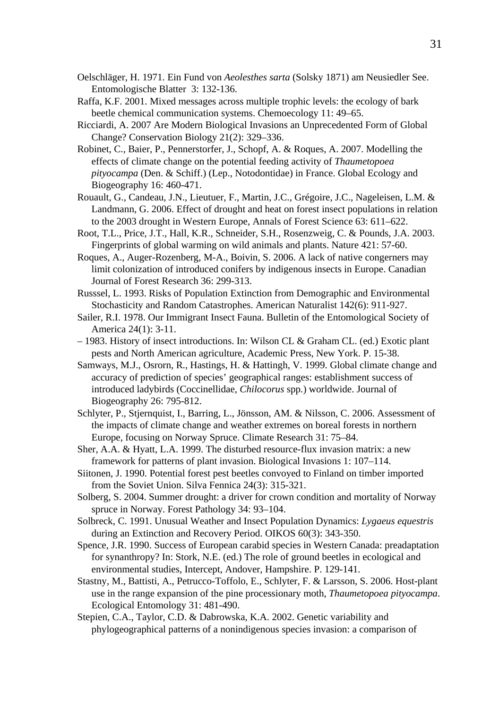- Oelschläger, H. 1971. Ein Fund von *Aeolesthes sarta* (Solsky 1871) am Neusiedler See. Entomologische Blatter 3: 132-136.
- Raffa, K.F. 2001. Mixed messages across multiple trophic levels: the ecology of bark beetle chemical communication systems. Chemoecology 11: 49–65.
- Ricciardi, A. 2007 Are Modern Biological Invasions an Unprecedented Form of Global Change? Conservation Biology 21(2): 329–336.
- Robinet, C., Baier, P., Pennerstorfer, J., Schopf, A. & Roques, A. 2007. Modelling the effects of climate change on the potential feeding activity of *Thaumetopoea pityocampa* (Den. & Schiff.) (Lep., Notodontidae) in France. Global Ecology and Biogeography 16: 460-471.
- Rouault, G., Candeau, J.N., Lieutuer, F., Martin, J.C., Grégoire, J.C., Nageleisen, L.M. & Landmann, G. 2006. Effect of drought and heat on forest insect populations in relation to the 2003 drought in Western Europe, Annals of Forest Science 63: 611–622.
- Root, T.L., Price, J.T., Hall, K.R., Schneider, S.H., Rosenzweig, C. & Pounds, J.A. 2003. Fingerprints of global warming on wild animals and plants. Nature 421: 57-60.
- Roques, A., Auger-Rozenberg, M-A., Boivin, S. 2006. A lack of native congerners may limit colonization of introduced conifers by indigenous insects in Europe. Canadian Journal of Forest Research 36: 299-313.
- Russsel, L. 1993. Risks of Population Extinction from Demographic and Environmental Stochasticity and Random Catastrophes. American Naturalist 142(6): 911-927.
- Sailer, R.I. 1978. Our Immigrant Insect Fauna. Bulletin of the Entomological Society of America 24(1): 3-11.
- 1983. History of insect introductions. In: Wilson CL & Graham CL. (ed.) Exotic plant pests and North American agriculture, Academic Press, New York. P. 15-38.
- Samways, M.J., Osrorn, R., Hastings, H. & Hattingh, V. 1999. Global climate change and accuracy of prediction of species' geographical ranges: establishment success of introduced ladybirds (Coccinellidae, *Chilocorus* spp.) worldwide. Journal of Biogeography 26: 795-812.
- Schlyter, P., Stjernquist, I., Barring, L., Jönsson, AM. & Nilsson, C. 2006. Assessment of the impacts of climate change and weather extremes on boreal forests in northern Europe, focusing on Norway Spruce. Climate Research 31: 75–84.
- Sher, A.A. & Hyatt, L.A. 1999. The disturbed resource-flux invasion matrix: a new framework for patterns of plant invasion. Biological Invasions 1: 107–114.
- Siitonen, J. 1990. Potential forest pest beetles convoyed to Finland on timber imported from the Soviet Union. Silva Fennica 24(3): 315-321.
- Solberg, S. 2004. Summer drought: a driver for crown condition and mortality of Norway spruce in Norway. Forest Pathology 34: 93–104.
- Solbreck, C. 1991. Unusual Weather and Insect Population Dynamics: *Lygaeus equestris* during an Extinction and Recovery Period. OIKOS 60(3): 343-350.
- Spence, J.R. 1990. Success of European carabid species in Western Canada: preadaptation for synanthropy? In: Stork, N.E. (ed.) The role of ground beetles in ecological and environmental studies, Intercept, Andover, Hampshire. P. 129-141.
- Stastny, M., Battisti, A., Petrucco-Toffolo, E., Schlyter, F. & Larsson, S. 2006. Host-plant use in the range expansion of the pine processionary moth, *Thaumetopoea pityocampa*. Ecological Entomology 31: 481-490.
- Stepien, C.A., Taylor, C.D. & Dabrowska, K.A. 2002. Genetic variability and phylogeographical patterns of a nonindigenous species invasion: a comparison of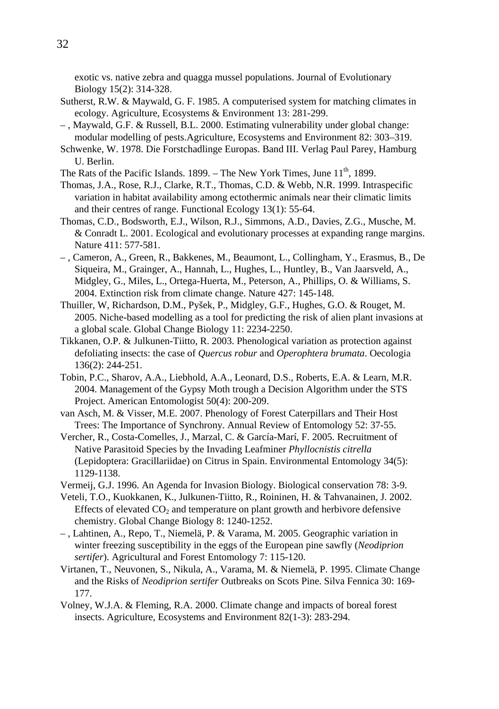exotic vs. native zebra and quagga mussel populations. Journal of Evolutionary Biology 15(2): 314-328.

- Sutherst, R.W. & Maywald, G. F. 1985. A computerised system for matching climates in ecology. Agriculture, Ecosystems & Environment 13: 281-299.
- , Maywald, G.F. & Russell, B.L. 2000. Estimating vulnerability under global change: modular modelling of pests.Agriculture, Ecosystems and Environment 82: 303–319.
- Schwenke, W. 1978. Die Forstchadlinge Europas. Band III. Verlag Paul Parey, Hamburg U. Berlin.
- The Rats of the Pacific Islands. 1899. The New York Times, June  $11<sup>th</sup>$ , 1899.
- Thomas, J.A., Rose, R.J., Clarke, R.T., Thomas, C.D. & Webb, N.R. 1999. Intraspecific variation in habitat availability among ectothermic animals near their climatic limits and their centres of range. Functional Ecology 13(1): 55-64.
- Thomas, C.D., Bodsworth, E.J., Wilson, R.J., Simmons, A.D., Davies, Z.G., Musche, M. & Conradt L. 2001. Ecological and evolutionary processes at expanding range margins. Nature 411: 577-581.
- , Cameron, A., Green, R., Bakkenes, M., Beaumont, L., Collingham, Y., Erasmus, B., De Siqueira, M., Grainger, A., Hannah, L., Hughes, L., Huntley, B., Van Jaarsveld, A., Midgley, G., Miles, L., Ortega-Huerta, M., Peterson, A., Phillips, O. & Williams, S. 2004. Extinction risk from climate change. Nature 427: 145-148.
- Thuiller, W, Richardson, D.M., Pyšek, P., Midgley, G.F., Hughes, G.O. & Rouget, M. 2005. Niche-based modelling as a tool for predicting the risk of alien plant invasions at a global scale. Global Change Biology 11: 2234-2250.
- Tikkanen, O.P. & Julkunen-Tiitto, R. 2003. Phenological variation as protection against defoliating insects: the case of *Quercus robur* and *Operophtera brumata*. Oecologia 136(2): 244-251.
- Tobin, P.C., Sharov, A.A., Liebhold, A.A., Leonard, D.S., Roberts, E.A. & Learn, M.R. 2004. Management of the Gypsy Moth trough a Decision Algorithm under the STS Project. American Entomologist 50(4): 200-209.
- van Asch, M. & Visser, M.E. 2007. Phenology of Forest Caterpillars and Their Host Trees: The Importance of Synchrony. Annual Review of Entomology 52: 37-55.
- Vercher, R., Costa-Comelles, J., Marzal, C. & García-Marí, F. 2005. Recruitment of Native Parasitoid Species by the Invading Leafminer *Phyllocnistis citrella* (Lepidoptera: Gracillariidae) on Citrus in Spain. Environmental Entomology 34(5): 1129-1138.
- Vermeij, G.J. 1996. An Agenda for Invasion Biology. Biological conservation 78: 3-9.
- Veteli, T.O., Kuokkanen, K., Julkunen-Tiitto, R., Roininen, H. & Tahvanainen, J. 2002. Effects of elevated  $CO<sub>2</sub>$  and temperature on plant growth and herbivore defensive chemistry. Global Change Biology 8: 1240-1252.
- , Lahtinen, A., Repo, T., Niemelä, P. & Varama, M. 2005. Geographic variation in winter freezing susceptibility in the eggs of the European pine sawfly (*Neodiprion sertifer*). Agricultural and Forest Entomology 7: 115-120.
- Virtanen, T., Neuvonen, S., Nikula, A., Varama, M. & Niemelä, P. 1995. Climate Change and the Risks of *Neodiprion sertifer* Outbreaks on Scots Pine. Silva Fennica 30: 169- 177.
- Volney, W.J.A. & Fleming, R.A. 2000. Climate change and impacts of boreal forest insects. Agriculture, Ecosystems and Environment 82(1-3): 283-294.